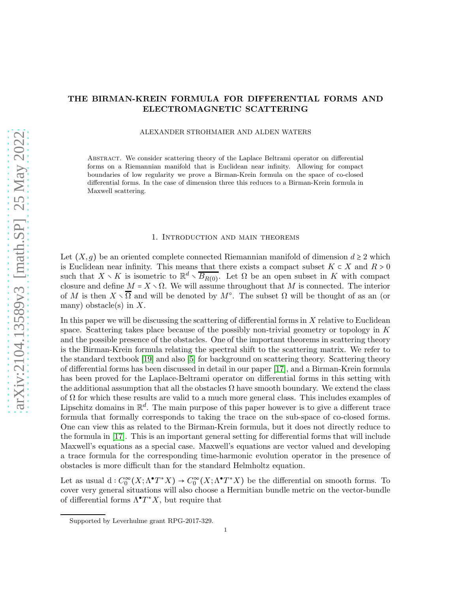# THE BIRMAN-KREIN FORMULA FOR DIFFERENTIAL FORMS AND ELECTROMAGNETIC SCATTERING

ALEXANDER STROHMAIER AND ALDEN WATERS

Abstract. We consider scattering theory of the Laplace Beltrami operator on differential forms on a Riemannian manifold that is Euclidean near infinity. Allowing for compact boundaries of low regularity we prove a Birman-Krein formula on the space of co-closed differential forms. In the case of dimension three this reduces to a Birman-Krein formula in Maxwell scattering.

### 1. Introduction and main theorems

Let  $(X, g)$  be an oriented complete connected Riemannian manifold of dimension  $d \geq 2$  which is Euclidean near infinity. This means that there exists a compact subset  $K \subset X$  and  $R > 0$ such that  $X \setminus K$  is isometric to  $\mathbb{R}^d \setminus \overline{B_{R(0)}}$ . Let  $\Omega$  be an open subset in K with compact closure and define  $M = X \setminus \Omega$ . We will assume throughout that M is connected. The interior of M is then  $X \setminus \overline{\Omega}$  and will be denoted by  $M^{\circ}$ . The subset  $\Omega$  will be thought of as an (or many) obstacle(s) in  $X$ .

In this paper we will be discussing the scattering of differential forms in  $X$  relative to Euclidean space. Scattering takes place because of the possibly non-trivial geometry or topology in  $K$ and the possible presence of the obstacles. One of the important theorems in scattering theory is the Birman-Krein formula relating the spectral shift to the scattering matrix. We refer to the standard textbook [\[19\]](#page-21-0) and also [\[5\]](#page-20-0) for background on scattering theory. Scattering theory of differential forms has been discussed in detail in our paper [\[17\]](#page-21-1), and a Birman-Krein formula has been proved for the Laplace-Beltrami operator on differential forms in this setting with the additional assumption that all the obstacles  $\Omega$  have smooth boundary. We extend the class of  $\Omega$  for which these results are valid to a much more general class. This includes examples of Lipschitz domains in  $\mathbb{R}^d$ . The main purpose of this paper however is to give a different trace formula that formally corresponds to taking the trace on the sub-space of co-closed forms. One can view this as related to the Birman-Krein formula, but it does not directly reduce to the formula in [\[17\]](#page-21-1). This is an important general setting for differential forms that will include Maxwell's equations as a special case. Maxwell's equations are vector valued and developing a trace formula for the corresponding time-harmonic evolution operator in the presence of obstacles is more difficult than for the standard Helmholtz equation.

Let as usual  $d: C_0^{\infty}(X; \Lambda^{\bullet} T^*X) \to C_0^{\infty}(X; \Lambda^{\bullet} T^*X)$  be the differential on smooth forms. To cover very general situations will also choose a Hermitian bundle metric on the vector-bundle of differential forms  $\Lambda^{\bullet} T^*X$ , but require that

Supported by Leverhulme grant RPG-2017-329.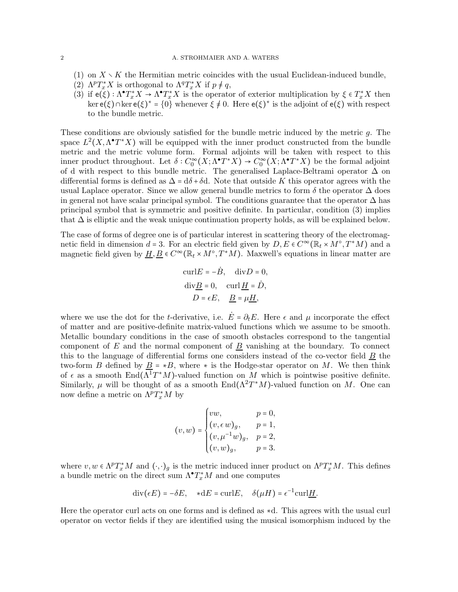### 2 A. STROHMAIER AND A. WATERS

- (1) on  $X \setminus K$  the Hermitian metric coincides with the usual Euclidean-induced bundle,
- (2)  $\Lambda^p T_x^* X$  is orthogonal to  $\Lambda^q T_x^* X$  if  $p \neq q$ ,
- (3) if  $e(\xi): \Lambda^{\bullet} T_x^* X \to \Lambda^{\bullet} T_x^* X$  is the operator of exterior multiplication by  $\xi \in T_x^* X$  then ker  $e(\xi) \cap \ker e(\xi)^* = \{0\}$  whenever  $\xi \neq 0$ . Here  $e(\xi)^*$  is the adjoint of  $e(\xi)$  with respect to the bundle metric.

These conditions are obviously satisfied for the bundle metric induced by the metric  $g$ . The space  $L^2(X, \Lambda^{\bullet} T^*X)$  will be equipped with the inner product constructed from the bundle metric and the metric volume form. Formal adjoints will be taken with respect to this inner product throughout. Let  $\delta: C_0^{\infty}(X; \Lambda^{\bullet} T^*X) \to C_0^{\infty}(X; \Lambda^{\bullet} T^*X)$  be the formal adjoint of d with respect to this bundle metric. The generalised Laplace-Beltrami operator  $\Delta$  on differential forms is defined as  $\Delta = d\delta + \delta d$ . Note that outside K this operator agrees with the usual Laplace operator. Since we allow general bundle metrics to form  $\delta$  the operator  $\Delta$  does in general not have scalar principal symbol. The conditions guarantee that the operator  $\Delta$  has principal symbol that is symmetric and positive definite. In particular, condition (3) implies that  $\Delta$  is elliptic and the weak unique continuation property holds, as will be explained below.

The case of forms of degree one is of particular interest in scattering theory of the electromagnetic field in dimension  $d = 3$ . For an electric field given by  $D, E \in C^{\infty}(\mathbb{R}_t \times M^{\circ}, T^*M)$  and a magnetic field given by  $\underline{H}, \underline{B} \in C^{\infty}(\mathbb{R}_t \times M^{\circ}, T^*M)$ . Maxwell's equations in linear matter are

$$
\text{curl}E = -\dot{B}, \quad \text{div}D = 0,
$$
  
divB = 0, curl H = D,  
D =  $\epsilon E$ , B =  $\mu$ H,

where we use the dot for the t-derivative, i.e.  $\vec{E} = \partial_t \vec{E}$ . Here  $\epsilon$  and  $\mu$  incorporate the effect of matter and are positive-definite matrix-valued functions which we assume to be smooth. Metallic boundary conditions in the case of smooth obstacles correspond to the tangential component of E and the normal component of  $\underline{B}$  vanishing at the boundary. To connect this to the language of differential forms one considers instead of the co-vector field  $\underline{B}$  the two-form B defined by  $\underline{B} = *B$ , where  $*$  is the Hodge-star operator on M. We then think of  $\epsilon$  as a smooth End( $\Lambda^1 T^* M$ )-valued function on M which is pointwise positive definite. Similarly,  $\mu$  will be thought of as a smooth End( $\Lambda^2 T^*M$ )-valued function on M. One can now define a metric on  $\Lambda^p T^*_x M$  by

$$
(v,w) = \begin{cases} vw, & p = 0, \\ (v,\epsilon\,w)_g, & p = 1, \\ (v,\mu^{-1}w)_g, & p = 2, \\ (v,w)_g, & p = 3. \end{cases}
$$

where  $v, w \in \Lambda^p T_x^* M$  and  $(\cdot, \cdot)_g$  is the metric induced inner product on  $\Lambda^p T_x^* M$ . This defines a bundle metric on the direct sum  $\Lambda^{\bullet} T_{x}^{*} M$  and one computes

$$
\operatorname{div}(\epsilon E) = -\delta E, \quad *dE = \operatorname{curl} E, \quad \delta(\mu H) = \epsilon^{-1} \operatorname{curl} \underline{H}.
$$

Here the operator curl acts on one forms and is defined as ∗d. This agrees with the usual curl operator on vector fields if they are identified using the musical isomorphism induced by the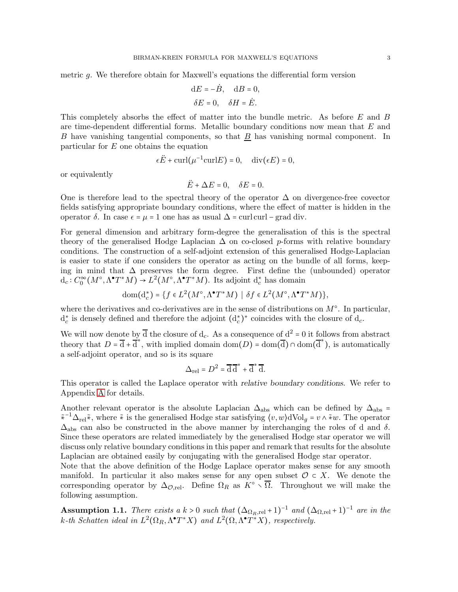metric g. We therefore obtain for Maxwell's equations the differential form version

$$
dE = -\dot{B}, \quad dB = 0,
$$
  

$$
\delta E = 0, \quad \delta H = \dot{E}.
$$

This completely absorbs the effect of matter into the bundle metric. As before E and B are time-dependent differential forms. Metallic boundary conditions now mean that  $E$  and B have vanishing tangential components, so that B has vanishing normal component. In particular for E one obtains the equation

$$
\epsilon \ddot{E} + \text{curl}(\mu^{-1}\text{curl}E) = 0, \quad \text{div}(\epsilon E) = 0,
$$

or equivalently

$$
\ddot{E} + \Delta E = 0, \quad \delta E = 0.
$$

One is therefore lead to the spectral theory of the operator  $\Delta$  on divergence-free covector fields satisfying appropriate boundary conditions, where the effect of matter is hidden in the operator δ. In case  $\epsilon = \mu = 1$  one has as usual  $\Delta$  = curl curl – grad div.

For general dimension and arbitrary form-degree the generalisation of this is the spectral theory of the generalised Hodge Laplacian  $\Delta$  on co-closed p-forms with relative boundary conditions. The construction of a self-adjoint extension of this generalised Hodge-Laplacian is easier to state if one considers the operator as acting on the bundle of all forms, keeping in mind that ∆ preserves the form degree. First define the (unbounded) operator  $d_c: C_0^{\infty}(M^{\circ}, \Lambda^{\bullet} T^*M) \to L^2(M^{\circ}, \Lambda^{\bullet} T^*M)$ . Its adjoint  $d_c^*$  has domain

$$
\text{dom}(\mathbf{d}_c^*) = \{ f \in L^2(M^\circ, \Lambda^\bullet T^*M) \mid \delta f \in L^2(M^\circ, \Lambda^\bullet T^*M) \},
$$

where the derivatives and co-derivatives are in the sense of distributions on  $M^{\circ}$ . In particular,  $d_c^*$  is densely defined and therefore the adjoint  $(d_c^*)^*$  coincides with the closure of  $d_c$ .

We will now denote by  $\overline{d}$  the closure of  $d_c$ . As a consequence of  $d^2 = 0$  it follows from abstract theory that  $D = \overline{d} + \overline{d}^*$ , with implied domain dom $(D) = \text{dom}(\overline{d}) \cap \text{dom}(\overline{d}^*)$ , is automatically a self-adjoint operator, and so is its square

$$
\Delta_{\rm rel} = D^2 = \overline{\rm d}\, \overline{\rm d}^* + \overline{\rm d}^* \, \overline{\rm d}.
$$

This operator is called the Laplace operator with relative boundary conditions. We refer to Appendix [A](#page-18-0) for details.

Another relevant operator is the absolute Laplacian  $\Delta_{\text{abs}}$  which can be defined by  $\Delta_{\text{abs}}$  =  $\tilde{*}^{-1}\Delta_{rel}\tilde{*}$ , where  $\tilde{*}$  is the generalised Hodge star satisfying  $\langle v, w \rangle dVol_g = v \wedge \tilde{*}w$ . The operator  $\Delta_{\text{abs}}$  can also be constructed in the above manner by interchanging the roles of d and  $\delta$ . Since these operators are related immediately by the generalised Hodge star operator we will discuss only relative boundary conditions in this paper and remark that results for the absolute Laplacian are obtained easily by conjugating with the generalised Hodge star operator.

Note that the above definition of the Hodge Laplace operator makes sense for any smooth manifold. In particular it also makes sense for any open subset  $\mathcal{O} \subset X$ . We denote the corresponding operator by  $\Delta_{\mathcal{O},\text{rel}}$ . Define  $\Omega_R$  as  $K^{\circ} \setminus \overline{\Omega}$ . Throughout we will make the following assumption.

Assumption 1.1. There exists a  $k > 0$  such that  $(\Delta_{\Omega_R,rel} + 1)^{-1}$  and  $(\Delta_{\Omega,rel} + 1)^{-1}$  are in the k-th Schatten ideal in  $L^2(\Omega_R, \Lambda^{\bullet} T^*X)$  and  $L^2(\Omega, \Lambda^{\bullet} T^*X)$ , respectively.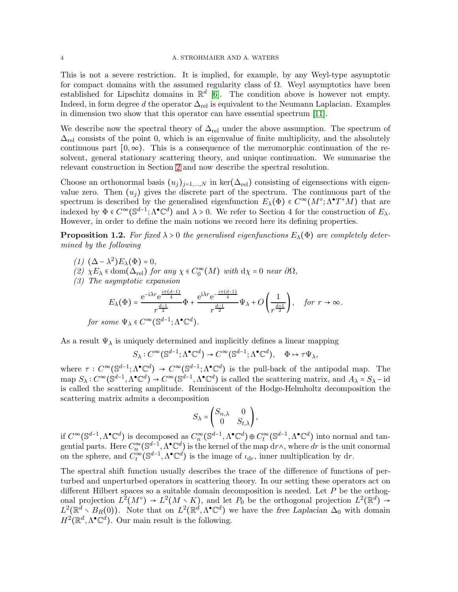### 4 A. STROHMAIER AND A. WATERS

This is not a severe restriction. It is implied, for example, by any Weyl-type asymptotic for compact domains with the assumed regularity class of  $\Omega$ . Weyl asymptotics have been established for Lipschitz domains in  $\mathbb{R}^d$  [\[6\]](#page-20-1). The condition above is however not empty. Indeed, in form degree d the operator  $\Delta_{rel}$  is equivalent to the Neumann Laplacian. Examples in dimension two show that this operator can have essential spectrum [\[11\]](#page-21-2).

We describe now the spectral theory of  $\Delta_{rel}$  under the above assumption. The spectrum of  $\Delta_{\rm rel}$  consists of the point 0, which is an eigenvalue of finite multiplicity, and the absolutely continuous part  $[0, \infty)$ . This is a consequence of the meromorphic continuation of the resolvent, general stationary scattering theory, and unique continuation. We summarise the relevant construction in Section [2](#page-5-0) and now describe the spectral resolution.

Choose an orthonormal basis  $(u_j)_{j=1,\dots,N}$  in ker $(\Delta_{\text{rel}})$  consisting of eigensections with eigenvalue zero. Then  $(u_i)$  gives the discrete part of the spectrum. The continuous part of the spectrum is described by the generalised eigenfunction  $E_{\lambda}(\Phi) \in C^{\infty}(M^{\circ}; \Lambda^{\bullet}T^{*}M)$  that are indexed by  $\Phi \in C^{\infty}(\mathbb{S}^{d-1}; \Lambda^{\bullet} \mathbb{C}^d)$  and  $\lambda > 0$ . We refer to Section 4 for the construction of  $E_{\lambda}$ . However, in order to define the main notions we record here its defining properties.

**Proposition 1.2.** For fixed  $\lambda > 0$  the generalised eigenfunctions  $E_{\lambda}(\Phi)$  are completely determined by the following

- (1)  $(\Delta \lambda^2) E_\lambda(\Phi) = 0,$
- (2)  $\chi E_{\lambda} \in \text{dom}(\Delta_{\text{rel}})$  for any  $\chi \in C_0^{\infty}(M)$  with  $d\chi = 0$  near  $\partial \Omega$ ,
- (3) The asymptotic expansion

$$
E_{\lambda}(\Phi) = \frac{e^{-i\lambda r}e^{\frac{i\pi(d-1)}{4}}}{r^{\frac{d-1}{2}}} \Phi + \frac{e^{i\lambda r}e^{-\frac{i\pi(d-1)}{4}}}{r^{\frac{d-1}{2}}} \Psi_{\lambda} + O\left(\frac{1}{r^{\frac{d+1}{2}}}\right), \quad \text{for } r \to \infty.
$$
  
for some  $\Psi_{\lambda} \in C^{\infty}(\mathbb{S}^{d-1}; \Lambda^{\bullet} \mathbb{C}^d).$ 

As a result  $\Psi_{\lambda}$  is uniquely determined and implicitly defines a linear mapping

$$
S_{\lambda}: C^{\infty}(\mathbb{S}^{d-1}; \Lambda^{\bullet} \mathbb{C}^d) \to C^{\infty}(\mathbb{S}^{d-1}; \Lambda^{\bullet} \mathbb{C}^d), \quad \Phi \mapsto \tau \Psi_{\lambda},
$$

where  $\tau: C^{\infty}(\mathbb{S}^{d-1}; \Lambda^{\bullet}\mathbb{C}^d) \to C^{\infty}(\mathbb{S}^{d-1}; \Lambda^{\bullet}\mathbb{C}^d)$  is the pull-back of the antipodal map. The  $\text{map } S_\lambda: C^\infty(\mathbb{S}^{d-1}, \Lambda^\bullet \mathbb{C}^d) \to C^\infty(\mathbb{S}^{d-1}, \Lambda^\bullet \mathbb{C}^d)$  is called the scattering matrix, and  $A_\lambda = S_\lambda - \text{id}$ is called the scattering amplitude. Reminiscent of the Hodge-Helmholtz decomposition the scattering matrix admits a decomposition

$$
S_{\lambda} = \begin{pmatrix} S_{n,\lambda} & 0 \\ 0 & S_{t,\lambda} \end{pmatrix},
$$

if  $C^{\infty}(\mathbb{S}^{d-1}, \Lambda^{\bullet}\mathbb{C}^{d})$  is decomposed as  $C^{\infty}_n(\mathbb{S}^{d-1}, \Lambda^{\bullet}\mathbb{C}^{d}) \oplus C^{\infty}_t(\mathbb{S}^{d-1}, \Lambda^{\bullet}\mathbb{C}^{d})$  into normal and tangential parts. Here  $C_n^{\infty}(\mathbb{S}^{d-1}, \Lambda^{\bullet}\mathbb{C}^d)$  is the kernel of the map  $d\tau \wedge$ , where  $dr$  is the unit conormal on the sphere, and  $C^{\infty}_t(\mathbb{S}^{d-1}, \Lambda^{\bullet}\mathbb{C}^d)$  is the image of  $\iota_{dr}$ , inner multiplication by dr.

The spectral shift function usually describes the trace of the difference of functions of perturbed and unperturbed operators in scattering theory. In our setting these operators act on different Hilbert spaces so a suitable domain decomposition is needed. Let  $P$  be the orthogonal projection  $L^2(M^{\circ}) \to L^2(M \setminus K)$ , and let  $P_0$  be the orthogonal projection  $L^2(\mathbb{R}^d) \to$  $L^2(\mathbb{R}^d \setminus B_R(0))$ . Note that on  $L^2(\mathbb{R}^d, \Lambda^{\bullet}\mathbb{C}^d)$  we have the free Laplacian  $\Delta_0$  with domain  $H^2(\mathbb{R}^d, \Lambda^{\bullet} \mathbb{C}^d)$ . Our main result is the following.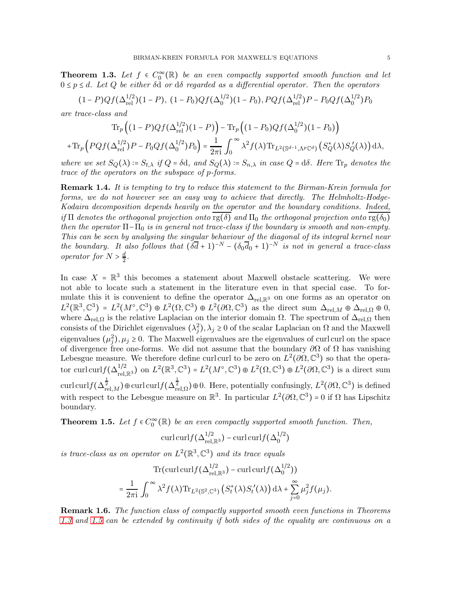<span id="page-4-0"></span>**Theorem 1.3.** Let  $f \in C_0^{\infty}(\mathbb{R})$  be an even compactly supported smooth function and let  $0 \le p \le d$ . Let Q be either  $\delta d$  or  $d\delta$  regarded as a differential operator. Then the operators

$$
(1 - P)Qf(\Delta_{\text{rel}}^{1/2})(1 - P), (1 - P_0)Qf(\Delta_0^{1/2})(1 - P_0), PQf(\Delta_{\text{rel}}^{1/2})P - P_0Qf(\Delta_0^{1/2})P_0
$$

are trace-class and

$$
\operatorname{Tr}_p\left((1-P)Qf(\Delta_{\mathrm{rel}}^{1/2})(1-P)\right) - \operatorname{Tr}_p\left((1-P_0)Qf(\Delta_0^{1/2})(1-P_0)\right)
$$

$$
+\operatorname{Tr}_p\left(PQf(\Delta_{\mathrm{rel}}^{1/2})P - P_0Qf(\Delta_0^{1/2})P_0\right) = \frac{1}{2\pi i}\int_0^\infty \lambda^2 f(\lambda)\operatorname{Tr}_{L^2(\mathbb{S}^{d-1},\Lambda^p\mathbb{C}^d)}\left(S_Q^*(\lambda)S_Q'(\lambda)\right)d\lambda,
$$

where we set  $S_Q(\lambda) = S_{t,\lambda}$  if  $Q = \delta d$ , and  $S_Q(\lambda) = S_{n,\lambda}$  in case  $Q = d\delta$ . Here  $\text{Tr}_p$  denotes the trace of the operators on the subspace of p-forms.

**Remark 1.4.** It is tempting to try to reduce this statement to the Birman-Krein formula for forms, we do not however see an easy way to achieve that directly. The Helmholtz-Hodge-Kodaira decomposition depends heavily on the operator and the boundary conditions. Indeed, if  $\Pi$  denotes the orthogonal projection onto  $\text{rg}(\delta)$  and  $\Pi_0$  the orthogonal projection onto  $\text{rg}(\delta_0)$ then the operator  $\Pi$ - $\Pi$ <sub>0</sub> is in general not trace-class if the boundary is smooth and non-empty. This can be seen by analysing the singular behaviour of the diagonal of its integral kernel near the boundary. It also follows that  $(\delta \overline{d} + 1)^{-N} - (\delta_0 \overline{d}_0 + 1)^{-N}$  is not in general a trace-class operator for  $N > \frac{d}{2}$  $\frac{d}{2}$ .

In case  $X = \mathbb{R}^3$  this becomes a statement about Maxwell obstacle scattering. We were not able to locate such a statement in the literature even in that special case. To formulate this it is convenient to define the operator  $\Delta_{\text{rel},\mathbb{R}^3}$  on one forms as an operator on  $L^2(\mathbb{R}^3, \mathbb{C}^3) = L^2(M^\circ, \mathbb{C}^3) \oplus L^2(\Omega, \mathbb{C}^3) \oplus L^2(\partial\Omega, \mathbb{C}^3)$  as the direct sum  $\Delta_{\text{rel},M} \oplus \Delta_{\text{rel},\Omega} \oplus 0$ , where  $\Delta_{rel,\Omega}$  is the relative Laplacian on the interior domain  $\Omega$ . The spectrum of  $\Delta_{rel,\Omega}$  then consists of the Dirichlet eigenvalues  $(\lambda_j^2), \lambda_j \ge 0$  of the scalar Laplacian on  $\Omega$  and the Maxwell eigenvalues  $(\mu_j^2), \mu_j \ge 0$ . The Maxwell eigenvalues are the eigenvalues of curl curl on the space of divergence free one-forms. We did not assume that the boundary  $\partial\Omega$  of  $\Omega$  has vanishing Lebesgue measure. We therefore define curl curl to be zero on  $L^2(\partial\Omega,\mathbb{C}^3)$  so that the operator curl curl  $f(\Delta_{\text{rel},\mathbb{R}^3}^{1/2})$  on  $L^2(\mathbb{R}^3,\mathbb{C}^3) = L^2(M^\circ,\mathbb{C}^3) \oplus L^2(\Omega,\mathbb{C}^3) \oplus L^2(\partial\Omega,\mathbb{C}^3)$  is a direct sum curl curlf $(\Delta^{\frac{1}{2}}_{rel,M}) \oplus$ curl curl $f(\Delta^{\frac{1}{2}}_{rel,\Omega}) \oplus 0$ . Here, potentially confusingly,  $L^2(\partial\Omega,\mathbb{C}^3)$  is defined with respect to the Lebesgue measure on  $\mathbb{R}^3$ . In particular  $L^2(\partial\Omega,\mathbb{C}^3) = 0$  if  $\Omega$  has Lipschitz boundary.

<span id="page-4-1"></span>**Theorem 1.5.** Let  $f \in C_0^{\infty}(\mathbb{R})$  be an even compactly supported smooth function. Then,

$$
\mathrm{curl}\,\mathrm{curl}\bigl(\Delta_{\mathrm{rel},\mathbb{R}^3}^{1/2}\bigr)-\mathrm{curl}\,\mathrm{curl}\bigl(\Delta_0^{1/2}\bigr)
$$

is trace-class as on operator on  $L^2(\mathbb{R}^3, \mathbb{C}^3)$  and its trace equals

$$
\operatorname{Tr}(\operatorname{curl}\operatorname{curl}f(\Delta_{\mathrm{rel},\mathbb{R}^3}^{1/2}) - \operatorname{curl}\operatorname{curl}f(\Delta_0^{1/2}))
$$
  
= 
$$
\frac{1}{2\pi i} \int_0^\infty \lambda^2 f(\lambda) \operatorname{Tr}_{L^2(\mathbb{S}^2,\mathbb{C}^3)} (S_t^*(\lambda)S_t'(\lambda)) d\lambda + \sum_{j=0}^\infty \mu_j^2 f(\mu_j).
$$

**Remark 1.6.** The function class of compactly supported smooth even functions in Theorems [1.3](#page-4-0) and [1.5](#page-4-1) can be extended by continuity if both sides of the equality are continuous on a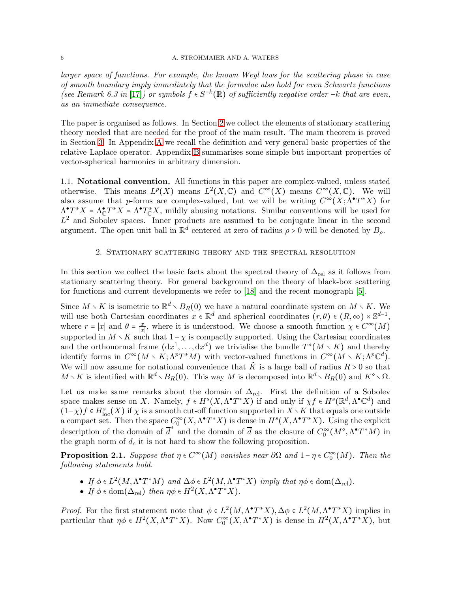### 6 A. STROHMAIER AND A. WATERS

larger space of functions. For example, the known Weyl laws for the scattering phase in case of smooth boundary imply immediately that the formulae also hold for even Schwartz functions (see Remark 6.3 in [\[17\]](#page-21-1)) or symbols  $f \in S^{-k}(\mathbb{R})$  of sufficiently negative order -k that are even, as an immediate consequence.

The paper is organised as follows. In Section [2](#page-5-0) we collect the elements of stationary scattering theory needed that are needed for the proof of the main result. The main theorem is proved in Section [3.](#page-10-0) In Appendix [A](#page-18-0) we recall the definition and very general basic properties of the relative Laplace operator. Appendix [B](#page-19-0) summarises some simple but important properties of vector-spherical harmonics in arbitrary dimension.

1.1. Notational convention. All functions in this paper are complex-valued, unless stated otherwise. This means  $L^p(X)$  means  $L^2(X, \mathbb{C})$  and  $C^{\infty}(X)$  means  $C^{\infty}(X, \mathbb{C})$ . We will also assume that p-forms are complex-valued, but we will be writing  $C^{\infty}(X; \Lambda^{\bullet} T^*X)$  for  $\Lambda^{\bullet}T^*X = \Lambda^{\bullet}T^*X = \Lambda^{\bullet}T^*X$ , mildly abusing notations. Similar conventions will be used for  $L^2$  and Sobolev spaces. Inner products are assumed to be conjugate linear in the second argument. The open unit ball in  $\mathbb{R}^d$  centered at zero of radius  $\rho > 0$  will be denoted by  $B_\rho$ .

## 2. Stationary scattering theory and the spectral resolution

<span id="page-5-0"></span>In this section we collect the basic facts about the spectral theory of  $\Delta_{rel}$  as it follows from stationary scattering theory. For general background on the theory of black-box scattering for functions and current developments we refer to [\[18\]](#page-21-3) and the recent monograph [\[5\]](#page-20-0).

Since  $M \setminus K$  is isometric to  $\mathbb{R}^d \setminus B_R(0)$  we have a natural coordinate system on  $M \setminus K$ . We will use both Cartesian coordinates  $x \in \mathbb{R}^d$  and spherical coordinates  $(r, \theta) \in (R, \infty) \times \mathbb{S}^{d-1}$ , where  $r = |x|$  and  $\theta = \frac{x}{|x|}$  $\frac{x}{|x|}$ , where it is understood. We choose a smooth function  $\chi \in C^{\infty}(M)$ supported in  $M \setminus K$  such that  $1-\chi$  is compactly supported. Using the Cartesian coordinates and the orthonormal frame  $(\text{d}x^1, \ldots, \text{d}x^d)$  we trivialise the bundle  $T^*(M \setminus K)$  and thereby identify forms in  $C^{\infty}(M \setminus K; \Lambda^p T^*M)$  with vector-valued functions in  $C^{\infty}(M \setminus K; \Lambda^p \mathbb{C}^d)$ . We will now assume for notational convenience that  $\tilde{K}$  is a large ball of radius  $R > 0$  so that  $M\setminus K$  is identified with  $\mathbb{R}^d\setminus B_R(0)$ . This way M is decomposed into  $\mathbb{R}^d\setminus B_R(0)$  and  $K^\circ\setminus\Omega$ .

Let us make same remarks about the domain of  $\Delta_{rel}$ . First the definition of a Sobolev space makes sense on X. Namely,  $f \in H^s(X, \Lambda^{\bullet} T^* X)$  if and only if  $\chi f \in H^s(\mathbb{R}^d, \Lambda^{\bullet} \mathbb{C}^d)$  and  $(1-\chi)f \in H_{\text{loc}}^{s}(X)$  if  $\chi$  is a smooth cut-off function supported in  $X \setminus K$  that equals one outside a compact set. Then the space  $C_0^{\infty}(X, \Lambda^{\bullet} T^*X)$  is dense in  $H^s(X, \Lambda^{\bullet} T^*X)$ . Using the explicit description of the domain of  $\overline{d}^*$  and the domain of  $\overline{d}$  as the closure of  $C_0^{\infty}(M^{\circ}, \Lambda^{\bullet}T^*M)$  in the graph norm of  $d_c$  it is not hard to show the following proposition.

<span id="page-5-1"></span>**Proposition 2.1.** Suppose that  $\eta \in C^{\infty}(M)$  vanishes near  $\partial\Omega$  and  $1 - \eta \in C_0^{\infty}(M)$ . Then the following statements hold.

- If  $\phi \in L^2(M, \Lambda^{\bullet} T^*M)$  and  $\Delta \phi \in L^2(M, \Lambda^{\bullet} T^*X)$  imply that  $\eta \phi \in \text{dom}(\Delta_{\text{rel}})$ .
- If  $\phi \in \text{dom}(\Delta_{\text{rel}})$  then  $\eta \phi \in H^2(X, \Lambda^{\bullet} T^*X)$ .

*Proof.* For the first statement note that  $\phi \in L^2(M, \Lambda^{\bullet} T^* X), \Delta \phi \in L^2(M, \Lambda^{\bullet} T^* X)$  implies in particular that  $\eta \phi \in H^2(X, \Lambda^{\bullet} T^* X)$ . Now  $C_0^{\infty}(X, \Lambda^{\bullet} T^* X)$  is dense in  $H^2(X, \Lambda^{\bullet} T^* X)$ , but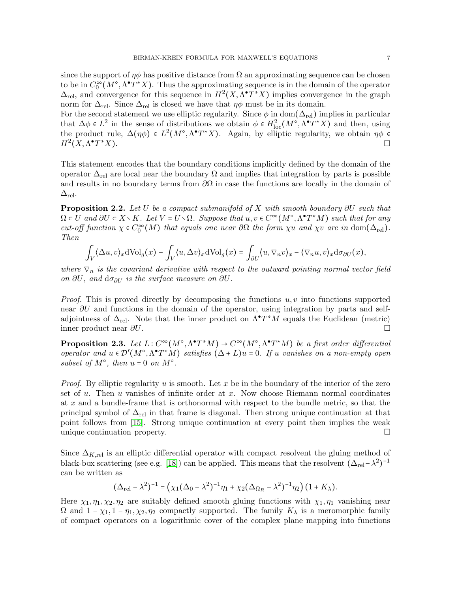since the support of  $\eta\phi$  has positive distance from  $\Omega$  an approximating sequence can be chosen to be in  $C_0^{\infty}(M^{\circ}, \Lambda^{\bullet}T^*X)$ . Thus the approximating sequence is in the domain of the operator  $\Delta_{\text{rel}}$ , and convergence for this sequence in  $H^2(X, \Lambda^{\bullet} T^* X)$  implies convergence in the graph norm for  $\Delta_{\text{rel}}$ . Since  $\Delta_{\text{rel}}$  is closed we have that  $\eta\phi$  must be in its domain.

For the second statement we use elliptic regularity. Since  $\phi$  in dom( $\Delta_{rel}$ ) implies in particular that  $\Delta \phi \in L^2$  in the sense of distributions we obtain  $\phi \in H^2_{loc}(M^{\circ}, \Lambda^{\bullet} T^*X)$  and then, using the product rule,  $\Delta(\eta\phi) \in L^2(M^{\circ}, \Lambda^{\bullet}T^*X)$ . Again, by elliptic regularity, we obtain  $\eta\phi \in$  $H^2(X, \Lambda^{\bullet}T)$  $\mathbb{Z}^*X$ ).

This statement encodes that the boundary conditions implicitly defined by the domain of the operator  $\Delta_{\rm rel}$  are local near the boundary  $\Omega$  and implies that integration by parts is possible and results in no boundary terms from  $\partial\Omega$  in case the functions are locally in the domain of  $\Delta_{\rm rel}$ .

<span id="page-6-0"></span>**Proposition 2.2.** Let U be a compact submanifold of X with smooth boundary  $\partial U$  such that  $\Omega \subset U$  and  $\partial U \subset X \setminus K$ . Let  $V = U \setminus \Omega$ . Suppose that  $u, v \in C^{\infty}(M^{\circ}, \Lambda^{\bullet} T^*M)$  such that for any cut-off function  $\chi \in C_0^{\infty}(M)$  that equals one near  $\partial\Omega$  the form  $\chi u$  and  $\chi v$  are in dom $(\Delta_{\text{rel}})$ . Then

$$
\int_V \langle \Delta u, v \rangle_x d\text{Vol}_g(x) - \int_V \langle u, \Delta v \rangle_x d\text{Vol}_g(x) = \int_{\partial U} \langle u, \nabla_n v \rangle_x - \langle \nabla_n u, v \rangle_x d\sigma_{\partial U}(x),
$$

where  $\nabla_n$  is the covariant derivative with respect to the outward pointing normal vector field on ∂U, and  $d\sigma_{\partial U}$  is the surface measure on  $\partial U$ .

*Proof.* This is proved directly by decomposing the functions  $u, v$  into functions supported near  $\partial U$  and functions in the domain of the operator, using integration by parts and selfadjointness of  $\Delta_{rel}$ . Note that the inner product on  $\Lambda^{\bullet}T^*M$  equals the Euclidean (metric) inner product near  $\partial U$ .

**Proposition 2.3.** Let  $L: C^{\infty}(M^{\circ}, \Lambda^{\bullet}T^*M) \to C^{\infty}(M^{\circ}, \Lambda^{\bullet}T^*M)$  be a first order differential operator and  $u \in \mathcal{D}'(M^{\circ}, \Lambda^{\bullet} T^*M)$  satisfies  $(\Delta + L)u = 0$ . If u vanishes on a non-empty open subset of  $M^{\circ}$ , then  $u = 0$  on  $M^{\circ}$ .

*Proof.* By elliptic regularity u is smooth. Let x be in the boundary of the interior of the zero set of  $u$ . Then  $u$  vanishes of infinite order at  $x$ . Now choose Riemann normal coordinates at x and a bundle-frame that is orthonormal with respect to the bundle metric, so that the principal symbol of  $\Delta_{\text{rel}}$  in that frame is diagonal. Then strong unique continuation at that point follows from [\[15\]](#page-21-4). Strong unique continuation at every point then implies the weak unique continuation property.  $\Box$ 

Since  $\Delta_{K,\text{rel}}$  is an elliptic differential operator with compact resolvent the gluing method of black-box scattering (see e.g. [\[18\]](#page-21-3)) can be applied. This means that the resolvent  $(\Delta_{\rm rel} - \lambda^2)^{-1}$ can be written as

$$
(\Delta_{\rm rel} - \lambda^2)^{-1} = \left(\chi_1(\Delta_0 - \lambda^2)^{-1}\eta_1 + \chi_2(\Delta_{\Omega_R} - \lambda^2)^{-1}\eta_2\right)(1 + K_\lambda).
$$

Here  $\chi_1, \eta_1, \chi_2, \eta_2$  are suitably defined smooth gluing functions with  $\chi_1, \eta_1$  vanishing near  $\Omega$  and  $1 - \chi_1, 1 - \eta_1, \chi_2, \eta_2$  compactly supported. The family  $K_\lambda$  is a meromorphic family of compact operators on a logarithmic cover of the complex plane mapping into functions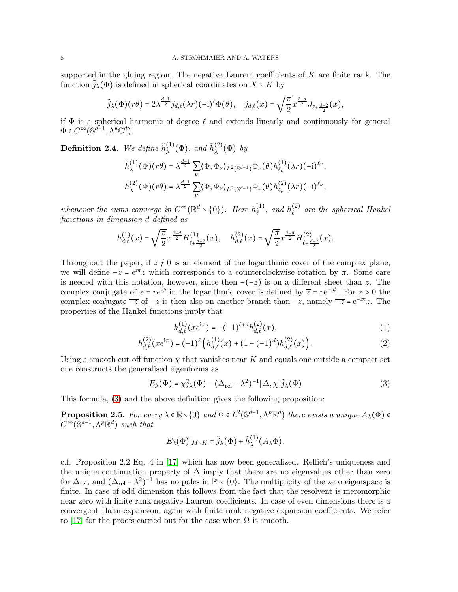supported in the gluing region. The negative Laurent coefficients of  $K$  are finite rank. The function  $j_{\lambda}(\Phi)$  is defined in spherical coordinates on  $X \setminus K$  by

$$
\tilde{j}_{\lambda}(\Phi)(r\theta)=2\lambda^{\frac{d-1}{2}}j_{d,\ell}(\lambda r)(-\mathrm{i})^{\ell}\Phi(\theta),\quad j_{d,\ell}(x)=\sqrt{\frac{\pi}{2}}x^{\frac{2-d}{2}}J_{\ell+\frac{d-2}{2}}(x),
$$

if  $\Phi$  is a spherical harmonic of degree  $\ell$  and extends linearly and continuously for general  $\Phi \in C^{\infty}(\mathbb{S}^{d-1}, \Lambda^{\bullet} \mathbb{C}^d).$ 

<span id="page-7-1"></span>**Definition 2.4.** We define  $\tilde{h}_{\lambda}^{(1)}$  $_{\lambda}^{(1)}(\Phi)$ , and  $\tilde{h}_{\lambda}^{(2)}$  $\lambda^{(2)}(\Phi)$  by

$$
\begin{split} &\tilde{h}^{(1)}_{\lambda}(\Phi)(r\theta)=\lambda^{\frac{d-1}{2}}\sum_{\nu}\langle\Phi,\Phi_{\nu}\rangle_{L^{2}(\mathbb{S}^{d-1})}\Phi_{\nu}(\theta)h^{(1)}_{\ell_{\nu}}(\lambda r)(-\mathrm{i})^{\ell_{\nu}},\\ &\tilde{h}^{(2)}_{\lambda}(\Phi)(r\theta)=\lambda^{\frac{d-1}{2}}\sum_{\nu}\langle\Phi,\Phi_{\nu}\rangle_{L^{2}(\mathbb{S}^{d-1})}\Phi_{\nu}(\theta)h^{(2)}_{\ell_{\nu}}(\lambda r)(-\mathrm{i})^{\ell_{\nu}}, \end{split}
$$

whenever the sums converge in  $C^{\infty}(\mathbb{R}^d \setminus \{0\})$ . Here  $h_{\ell}^{(1)}$  $\binom{1}{\ell}$ , and  $h_{\ell}^{(2)}$  $\ell$ <sup>(2)</sup> are the spherical Hankel functions in dimension d defined as

$$
h_{d,\ell}^{(1)}(x) = \sqrt{\frac{\pi}{2}} x^{\frac{2-d}{2}} H_{\ell + \frac{d-2}{2}}^{(1)}(x), \quad h_{d,\ell}^{(2)}(x) = \sqrt{\frac{\pi}{2}} x^{\frac{2-d}{2}} H_{\ell + \frac{d-2}{2}}^{(2)}(x).
$$

Throughout the paper, if  $z \neq 0$  is an element of the logarithmic cover of the complex plane, we will define  $-z = e^{i\pi} z$  which corresponds to a counterclockwise rotation by  $\pi$ . Some care is needed with this notation, however, since then  $-(-z)$  is on a different sheet than z. The complex conjugate of  $z = re^{i\phi}$  in the logarithmic cover is defined by  $\overline{z} = re^{-i\phi}$ . For  $z > 0$  the complex conjugate  $\overline{-z}$  of  $-z$  is then also on another branch than  $-z$ , namely  $\overline{-z} = e^{-i\pi}z$ . The properties of the Hankel functions imply that

<span id="page-7-3"></span><span id="page-7-2"></span><span id="page-7-0"></span>
$$
h_{d,\ell}^{(1)}(xe^{i\pi}) = -(-1)^{\ell+d} h_{d,\ell}^{(2)}(x),\tag{1}
$$

$$
h_{d,\ell}^{(2)}(xe^{i\pi}) = (-1)^{\ell} \left( h_{d,\ell}^{(1)}(x) + (1 + (-1)^d) h_{d,\ell}^{(2)}(x) \right). \tag{2}
$$

Using a smooth cut-off function  $\chi$  that vanishes near K and equals one outside a compact set one constructs the generalised eigenforms as

$$
E_{\lambda}(\Phi) = \chi \tilde{j}_{\lambda}(\Phi) - (\Delta_{\text{rel}} - \lambda^2)^{-1} [\Delta, \chi] \tilde{j}_{\lambda}(\Phi)
$$
 (3)

This formula, [\(3\)](#page-7-0) and the above definition gives the following proposition:

**Proposition 2.5.** For every  $\lambda \in \mathbb{R} \setminus \{0\}$  and  $\Phi \in L^2(\mathbb{S}^{d-1}, \Lambda^p \mathbb{R}^d)$  there exists a unique  $A_{\lambda}(\Phi) \in$  $C^{\infty}(\mathbb{S}^{d-1}, \Lambda^p \mathbb{R}^d)$  such that

$$
E_{\lambda}(\Phi)|_{M \setminus K} = \tilde{j}_{\lambda}(\Phi) + \tilde{h}_{\lambda}^{(1)}(A_{\lambda}\Phi).
$$

c.f. Proposition 2.2 Eq. 4 in [\[17\]](#page-21-1) which has now been generalized. Rellich's uniqueness and the unique continuation property of  $\Delta$  imply that there are no eigenvalues other than zero for  $\Delta_{\rm rel}$ , and  $(\Delta_{\rm rel} - \lambda^2)^{-1}$  has no poles in  $\mathbb{R} \setminus \{0\}$ . The multiplicity of the zero eigenspace is finite. In case of odd dimension this follows from the fact that the resolvent is meromorphic near zero with finite rank negative Laurent coefficients. In case of even dimensions there is a convergent Hahn-expansion, again with finite rank negative expansion coefficients. We refer to [\[17\]](#page-21-1) for the proofs carried out for the case when  $\Omega$  is smooth.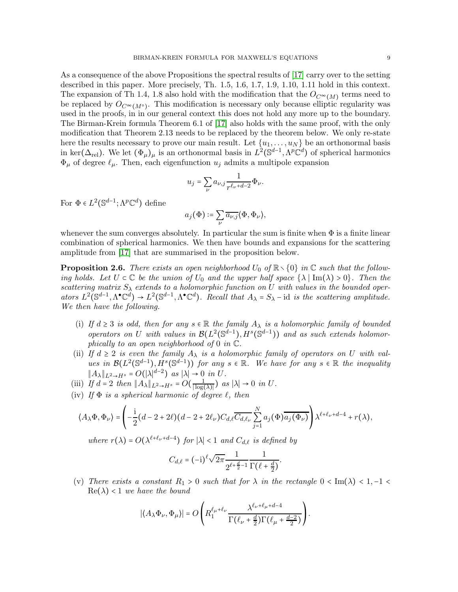As a consequence of the above Propositions the spectral results of [\[17\]](#page-21-1) carry over to the setting described in this paper. More precisely, Th. 1.5, 1.6, 1.7, 1.9, 1.10, 1.11 hold in this context. The expansion of Th 1.4, 1.8 also hold with the modification that the  $O_{C^{\infty}(M)}$  terms need to be replaced by  $O_{C^{\infty}(M^{\circ})}$ . This modification is necessary only because elliptic regularity was used in the proofs, in in our general context this does not hold any more up to the boundary. The Birman-Krein formula Theorem 6.1 of [\[17\]](#page-21-1) also holds with the same proof, with the only modification that Theorem 2.13 needs to be replaced by the theorem below. We only re-state here the results necessary to prove our main result. Let  $\{u_1, \ldots, u_N\}$  be an orthonormal basis in ker( $\Delta_{rel}$ ). We let  $(\Phi_{\mu})_{\mu}$  is an orthonormal basis in  $L^2(\mathbb{S}^{d-1}, \Lambda^p \mathbb{C}^d)$  of spherical harmonics  $\Phi_{\mu}$  of degree  $\ell_{\mu}$ . Then, each eigenfunction  $u_j$  admits a multipole expansion

$$
u_j = \sum_{\nu} a_{\nu,j} \frac{1}{r^{\ell_{\nu} + d - 2}} \Phi_{\nu}.
$$

For  $\Phi \in L^2(\mathbb{S}^{d-1}; \Lambda^p \mathbb{C}^d)$  define

$$
a_j(\Phi) \coloneqq \sum_{\nu} \overline{a_{\nu,j}} \langle \Phi, \Phi_{\nu} \rangle,
$$

whenever the sum converges absolutely. In particular the sum is finite when  $\Phi$  is a finite linear combination of spherical harmonics. We then have bounds and expansions for the scattering amplitude from [\[17\]](#page-21-1) that are summarised in the proposition below.

<span id="page-8-0"></span>**Proposition 2.6.** There exists an open neighborhood  $U_0$  of  $\mathbb{R}\setminus\{0\}$  in  $\mathbb{C}$  such that the following holds. Let  $U \subset \mathbb{C}$  be the union of  $U_0$  and the upper half space  $\{\lambda \mid \text{Im}(\lambda) > 0\}$ . Then the scattering matrix  $S_{\lambda}$  extends to a holomorphic function on U with values in the bounded operators  $L^2(\mathbb{S}^{d-1}, \Lambda^{\bullet}\mathbb{C}^d) \to L^2(\mathbb{S}^{d-1}, \Lambda^{\bullet}\mathbb{C}^d)$ . Recall that  $A_{\lambda} = S_{\lambda}$  - id is the scattering amplitude. We then have the following.

- (i) If  $d \geq 3$  is odd, then for any  $s \in \mathbb{R}$  the family  $A_{\lambda}$  is a holomorphic family of bounded operators on U with values in  $\mathcal{B}(L^2(\mathbb{S}^{d-1}), H^s(\mathbb{S}^{d-1}))$  and as such extends holomorphically to an open neighborhood of 0 in  $\mathbb{C}$ .
- (ii) If  $d \geq 2$  is even the family  $A_{\lambda}$  is a holomorphic family of operators on U with values in  $\mathcal{B}(L^2(\mathbb{S}^{d-1}), H^s(\mathbb{S}^{d-1}))$  for any  $s \in \mathbb{R}$ . We have for any  $s \in \mathbb{R}$  the inequality  $||A_\lambda||_{L^2 \to H^s} = O(|\lambda|^{d-2})$  as  $|\lambda| \to 0$  in U.
- (iii) If  $d = 2$  then  $||A_\lambda||_{L^2 \to H^s} = O(\frac{1}{|\log(\lambda)|})$  as  $|\lambda| \to 0$  in U.
- (iv) If  $\Phi$  is a spherical harmonic of degree  $\ell$ , then

$$
\langle A_\lambda \Phi, \Phi_\nu \rangle = \left( -\frac{\mathrm{i}}{2} (d-2+2\ell) (d-2+2\ell_\nu) C_{d,\ell} \overline{C_{d,\ell_\nu}} \sum_{j=1}^N a_j(\Phi) \overline{a_j(\Phi_\nu)} \right) \lambda^{\ell+\ell_\nu+d-4} + r(\lambda),
$$

where  $r(\lambda) = O(\lambda^{\ell+\ell_{\nu}+d-4})$  for  $|\lambda| < 1$  and  $C_{d,\ell}$  is defined by

$$
C_{d,\ell} = (-i)^{\ell} \sqrt{2\pi} \frac{1}{2^{\ell + \frac{d}{2} - 1}} \frac{1}{\Gamma(\ell + \frac{d}{2})}.
$$

(v) There exists a constant  $R_1 > 0$  such that for  $\lambda$  in the rectangle  $0 < Im(\lambda) < 1, -1 <$  $\text{Re}(\lambda)$  < 1 we have the bound

$$
|\langle A_{\lambda} \Phi_{\nu}, \Phi_{\mu} \rangle| = O\left(R_1^{\ell_{\mu} + \ell_{\nu}} \frac{\lambda^{\ell_{\nu} + \ell_{\mu} + d - 4}}{\Gamma(\ell_{\nu} + \frac{d}{2})\Gamma(\ell_{\mu} + \frac{d - 2}{2})}\right).
$$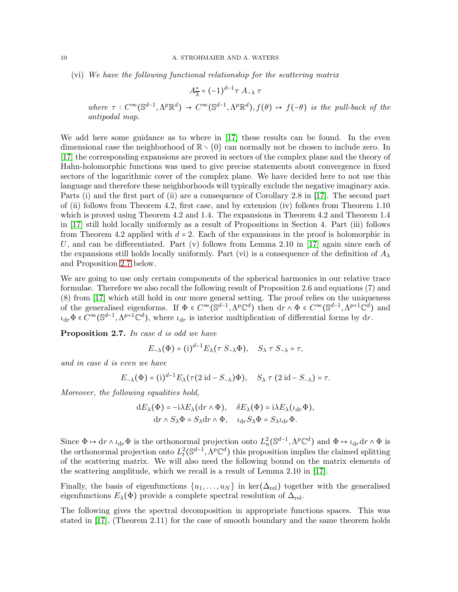(vi) We have the following functional relationship for the scattering matrix

$$
A_{\overline{\lambda}}^* = (-1)^{d-1} \tau A_{-\lambda} \tau
$$

where  $\tau: C^{\infty}(\mathbb{S}^{d-1}, \Lambda^p \mathbb{R}^d) \to C^{\infty}(\mathbb{S}^{d-1}, \Lambda^p \mathbb{R}^d), f(\theta) \mapsto f(-\theta)$  is the pull-back of the antipodal map.

We add here some guidance as to where in [\[17\]](#page-21-1) these results can be found. In the even dimensional case the neighborhood of  $\mathbb{R} \setminus \{0\}$  can normally not be chosen to include zero. In [\[17\]](#page-21-1) the corresponding expansions are proved in sectors of the complex plane and the theory of Hahn-holomorphic functions was used to give precise statements about convergence in fixed sectors of the logarithmic cover of the complex plane. We have decided here to not use this language and therefore these neighborhoods will typically exclude the negative imaginary axis. Parts (i) and the first part of (ii) are a consequence of Corollary 2.8 in [\[17\]](#page-21-1). The second part of (ii) follows from Theorem 4.2, first case, and by extension (iv) follows from Theorem 1.10 which is proved using Theorem 4.2 and 1.4. The expansions in Theorem 4.2 and Theorem 1.4 in [\[17\]](#page-21-1) still hold locally uniformly as a result of Propositions in Section 4. Part (iii) follows from Theorem 4.2 applied with  $d = 2$ . Each of the expansions in the proof is holomorphic in U, and can be differentiated. Part  $(v)$  follows from Lemma 2.10 in [\[17\]](#page-21-1) again since each of the expansions still holds locally uniformly. Part (vi) is a consequence of the definition of  $A_{\lambda}$ and Proposition [2.7](#page-9-0) below.

We are going to use only certain components of the spherical harmonics in our relative trace formulae. Therefore we also recall the following result of Proposition 2.6 and equations (7) and (8) from [\[17\]](#page-21-1) which still hold in our more general setting. The proof relies on the uniqueness of the generalised eigenforms. If  $\Phi \in C^{\infty}(\mathbb{S}^{d-1}, \Lambda^p \mathbb{C}^d)$  then  $dr \wedge \Phi \in C^{\infty}(\mathbb{S}^{d-1}, \Lambda^{p+1} \mathbb{C}^d)$  and  $\iota_{dr}\Phi \in C^{\infty}(\mathbb{S}^{d-1}, \Lambda^{p+1}\mathbb{C}^d)$ , where  $\iota_{dr}$  is interior multiplication of differential forms by dr.

<span id="page-9-0"></span>Proposition 2.7. In case d is odd we have

$$
E_{-\lambda}(\Phi) = (i)^{d-1} E_{\lambda}(\tau S_{-\lambda} \Phi), \quad S_{\lambda} \tau S_{-\lambda} = \tau,
$$

and in case d is even we have

$$
E_{-\lambda}(\Phi) = (\mathrm{i})^{d-1} E_{\lambda}(\tau (2 \mathrm{id} - S_{-\lambda})\Phi), \quad S_{\lambda} \tau (2 \mathrm{id} - S_{-\lambda}) = \tau.
$$

Moreover, the following equalities hold,

$$
dE_{\lambda}(\Phi) = -i\lambda E_{\lambda}(dr \wedge \Phi), \quad \delta E_{\lambda}(\Phi) = i\lambda E_{\lambda}(\iota_{dr}\Phi),
$$
  

$$
dr \wedge S_{\lambda}\Phi = S_{\lambda}dr \wedge \Phi, \quad \iota_{dr}S_{\lambda}\Phi = S_{\lambda}\iota_{dr}\Phi.
$$

Since  $\Phi \mapsto dr \wedge \iota_{dr} \Phi$  is the orthonormal projection onto  $L_n^2(\mathbb{S}^{d-1}, \Lambda^p \mathbb{C}^d)$  and  $\Phi \mapsto \iota_{dr} dr \wedge \Phi$  is the orthonormal projection onto  $L^2_t(\mathbb{S}^{d-1}, \Lambda^p \mathbb{C}^d)$  this proposition implies the claimed splitting of the scattering matrix. We will also need the following bound on the matrix elements of the scattering amplitude, which we recall is a result of Lemma 2.10 in [\[17\]](#page-21-1).

Finally, the basis of eigenfunctions  $\{u_1, \ldots, u_N\}$  in ker( $\Delta_{\text{rel}}$ ) together with the generalised eigenfunctions  $E_{\lambda}(\Phi)$  provide a complete spectral resolution of  $\Delta_{\text{rel}}$ .

The following gives the spectral decomposition in appropriate functions spaces. This was stated in [\[17\]](#page-21-1), (Theorem 2.11) for the case of smooth boundary and the same theorem holds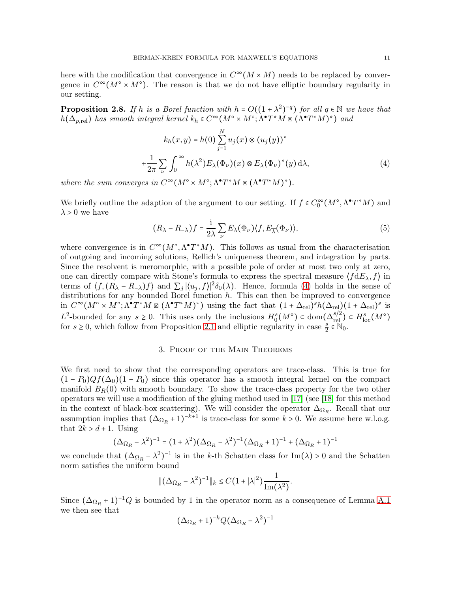here with the modification that convergence in  $C^{\infty}(M \times M)$  needs to be replaced by convergence in  $C^{\infty}(M^{\circ} \times M^{\circ})$ . The reason is that we do not have elliptic boundary regularity in our setting.

<span id="page-10-2"></span>**Proposition 2.8.** If h is a Borel function with  $h = O((1 + \lambda^2)^{-q})$  for all  $q \in \mathbb{N}$  we have that  $h(\Delta_{p,\text{rel}})$  has smooth integral kernel  $k_h \in C^{\infty}(M^{\circ} \times M^{\circ}; \Lambda^{\bullet} T^*M \boxtimes (\Lambda^{\bullet} T^*M)^*)$  and

$$
k_h(x, y) = h(0) \sum_{j=1}^{N} u_j(x) \otimes (u_j(y))^*
$$
  
+
$$
\frac{1}{2\pi} \sum_{\nu} \int_0^{\infty} h(\lambda^2) E_{\lambda}(\Phi_{\nu})(x) \otimes E_{\lambda}(\Phi_{\nu})^*(y) d\lambda,
$$
 (4)

where the sum converges in  $C^{\infty}(M^{\circ} \times M^{\circ}; \Lambda^{\bullet} T^*M \boxtimes (\Lambda^{\bullet} T^*M)^*).$ 

We briefly outline the adaption of the argument to our setting. If  $f \in C_0^{\infty}(M^{\circ}, \Lambda^{\bullet} T^*M)$  and  $\lambda > 0$  we have

<span id="page-10-1"></span>
$$
(R_{\lambda} - R_{-\lambda})f = \frac{1}{2\lambda} \sum_{\nu} E_{\lambda}(\Phi_{\nu}) \langle f, E_{\overline{\lambda}}(\Phi_{\nu}) \rangle, \tag{5}
$$

where convergence is in  $C^{\infty}(M^{\circ}, \Lambda^{\bullet} T^*M)$ . This follows as usual from the characterisation of outgoing and incoming solutions, Rellich's uniqueness theorem, and integration by parts. Since the resolvent is meromorphic, with a possible pole of order at most two only at zero, one can directly compare with Stone's formula to express the spectral measure  $(fdE_\lambda, f)$  in terms of  $\langle f, (R_{\lambda} - R_{-\lambda})f \rangle$  and  $\sum_j |\langle u_j, f \rangle|^2 \delta_0(\lambda)$ . Hence, formula [\(4\)](#page-10-1) holds in the sense of distributions for any bounded Borel function  $h$ . This can then be improved to convergence in  $C^{\infty}(M^{\circ} \times M^{\circ}; \Lambda^{\bullet}T^*M \boxtimes (\Lambda^{\bullet}T^*M)^*)$  using the fact that  $(1 + \Delta_{\text{rel}})^s h(\Delta_{\text{rel}})(1 + \Delta_{\text{rel}})^s$  is L<sup>2</sup>-bounded for any  $s \geq 0$ . This uses only the inclusions  $H_0^s(M^{\circ}) \subset \text{dom}(\Delta_{\text{rel}}^{s/2}) \subset H_{\text{loc}}^s(M^{\circ})$ for  $s \geq 0$ , which follow from Proposition [2.1](#page-5-1) and elliptic regularity in case  $\frac{s}{2} \in \mathbb{N}_0$ .

### 3. Proof of the Main Theorems

<span id="page-10-0"></span>We first need to show that the corresponding operators are trace-class. This is true for  $(1 - P_0)Qf(\Delta_0)(1 - P_0)$  since this operator has a smooth integral kernel on the compact manifold  $B_R(0)$  with smooth boundary. To show the trace-class property for the two other operators we will use a modification of the gluing method used in [\[17\]](#page-21-1) (see [\[18\]](#page-21-3) for this method in the context of black-box scattering). We will consider the operator  $\Delta_{\Omega_R}$ . Recall that our assumption implies that  $(\Delta_{\Omega_R} + 1)^{-k+1}$  is trace-class for some  $k > 0$ . We assume here w.l.o.g. that  $2k > d + 1$ . Using

$$
(\Delta_{\Omega_R} - \lambda^2)^{-1} = (1 + \lambda^2)(\Delta_{\Omega_R} - \lambda^2)^{-1}(\Delta_{\Omega_R} + 1)^{-1} + (\Delta_{\Omega_R} + 1)^{-1}
$$

we conclude that  $(\Delta_{\Omega_R} - \lambda^2)^{-1}$  is in the k-th Schatten class for Im( $\lambda$ ) > 0 and the Schatten norm satisfies the uniform bound

$$
\|(\Delta_{\Omega_R} - \lambda^2)^{-1}\|_k \le C\left(1 + |\lambda|^2\right) \frac{1}{\text{Im}(\lambda^2)}.
$$

Since  $(\Delta_{\Omega_R} + 1)^{-1}Q$  is bounded by 1 in the operator norm as a consequence of Lemma [A.1](#page-19-1) we then see that

$$
(\Delta_{\Omega_R} + 1)^{-k} Q (\Delta_{\Omega_R} - \lambda^2)^{-1}
$$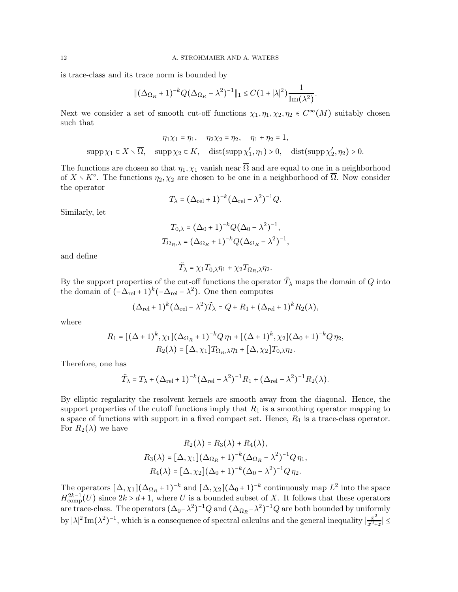is trace-class and its trace norm is bounded by

$$
\|(\Delta_{\Omega_R}+1)^{-k}Q(\Delta_{\Omega_R}-\lambda^2)^{-1}\|_1\leq C(1+|\lambda|^2)\frac{1}{\text{Im}(\lambda^2)}.
$$

Next we consider a set of smooth cut-off functions  $\chi_1, \eta_1, \chi_2, \eta_2 \in C^{\infty}(M)$  suitably chosen such that

$$
\eta_1 \chi_1 = \eta_1, \quad \eta_2 \chi_2 = \eta_2, \quad \eta_1 + \eta_2 = 1,
$$
  
\n
$$
\text{supp}\,\chi_1 \subset X \smallsetminus \overline{\Omega}, \quad \text{supp}\,\chi_2 \subset K, \quad \text{dist}(\text{supp}\,\chi_1', \eta_1) > 0, \quad \text{dist}(\text{supp}\,\chi_2', \eta_2) > 0.
$$

The functions are chosen so that  $\eta_1, \chi_1$  vanish near  $\overline{\Omega}$  and are equal to one in a neighborhood of  $X \setminus K^{\circ}$ . The functions  $\eta_2, \chi_2$  are chosen to be one in a neighborhood of  $\overline{\Omega}$ . Now consider the operator

$$
T_{\lambda} = (\Delta_{\rm rel} + 1)^{-k} (\Delta_{\rm rel} - \lambda^2)^{-1} Q.
$$

Similarly, let

$$
T_{0,\lambda} = (\Delta_0 + 1)^{-k} Q (\Delta_0 - \lambda^2)^{-1},
$$
  
\n
$$
T_{\Omega_R, \lambda} = (\Delta_{\Omega_R} + 1)^{-k} Q (\Delta_{\Omega_R} - \lambda^2)^{-1},
$$

and define

$$
\tilde{T}_{\lambda}=\chi_1 T_{0,\lambda}\eta_1+\chi_2 T_{\Omega_R,\lambda}\eta_2.
$$

By the support properties of the cut-off functions the operator  $\tilde{T}_{\lambda}$  maps the domain of  $Q$  into the domain of  $(-\Delta_{rel} + 1)^k(-\Delta_{rel} - \lambda^2)$ . One then computes

$$
(\Delta_{\rm rel} + 1)^k (\Delta_{\rm rel} - \lambda^2) \tilde{T}_{\lambda} = Q + R_1 + (\Delta_{\rm rel} + 1)^k R_2(\lambda),
$$

where

$$
R_1 = [(\Delta + 1)^k, \chi_1](\Delta_{\Omega_R} + 1)^{-k} Q \eta_1 + [(\Delta + 1)^k, \chi_2](\Delta_0 + 1)^{-k} Q \eta_2,
$$
  

$$
R_2(\lambda) = [\Delta, \chi_1] T_{\Omega_R, \lambda} \eta_1 + [\Delta, \chi_2] T_{0, \lambda} \eta_2.
$$

Therefore, one has

$$
\tilde{T}_{\lambda} = T_{\lambda} + (\Delta_{\text{rel}} + 1)^{-k} (\Delta_{\text{rel}} - \lambda^2)^{-1} R_1 + (\Delta_{\text{rel}} - \lambda^2)^{-1} R_2(\lambda).
$$

By elliptic regularity the resolvent kernels are smooth away from the diagonal. Hence, the support properties of the cutoff functions imply that  $R_1$  is a smoothing operator mapping to a space of functions with support in a fixed compact set. Hence,  $R_1$  is a trace-class operator. For  $R_2(\lambda)$  we have

$$
R_2(\lambda) = R_3(\lambda) + R_4(\lambda),
$$
  
\n
$$
R_3(\lambda) = [\Delta, \chi_1](\Delta_{\Omega_R} + 1)^{-k}(\Delta_{\Omega_R} - \lambda^2)^{-1}Q\eta_1,
$$
  
\n
$$
R_4(\lambda) = [\Delta, \chi_2](\Delta_0 + 1)^{-k}(\Delta_0 - \lambda^2)^{-1}Q\eta_2.
$$

The operators  $[\Delta, \chi_1](\Delta_{\Omega_R} + 1)^{-k}$  and  $[\Delta, \chi_2](\Delta_0 + 1)^{-k}$  continuously map  $L^2$  into the space  $H_{\text{comp}}^{2k-1}(U)$  since  $2k > d+1$ , where U is a bounded subset of X. It follows that these operators are trace-class. The operators  $(\Delta_0 - \lambda^2)^{-1} Q$  and  $(\Delta_{\Omega_R} - \lambda^2)^{-1} Q$  are both bounded by uniformly by  $|\lambda|^2 \text{Im}(\lambda^2)^{-1}$ , which is a consequence of spectral calculus and the general inequality  $\frac{x^2}{x^2+1}$  $\left|\frac{x^2}{x^2+z}\right| \leq$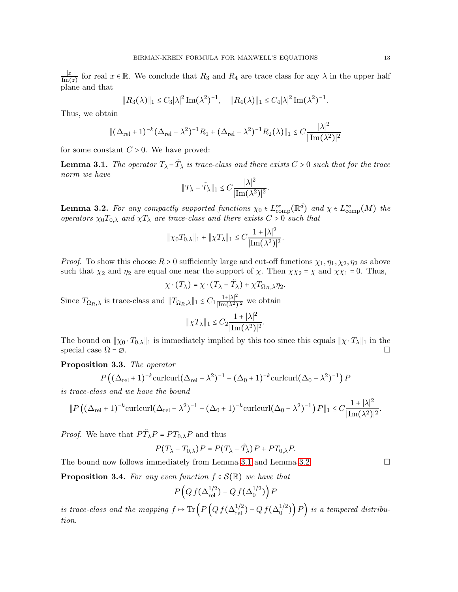∣z∣  $\frac{|z|}{\text{Im}(z)}$  for real  $x \in \mathbb{R}$ . We conclude that  $R_3$  and  $R_4$  are trace class for any  $\lambda$  in the upper half plane and that

$$
||R_3(\lambda)||_1 \leq C_3 |\lambda|^2 \operatorname{Im}(\lambda^2)^{-1}, \quad ||R_4(\lambda)||_1 \leq C_4 |\lambda|^2 \operatorname{Im}(\lambda^2)^{-1}.
$$

Thus, we obtain

$$
\|(\Delta_{\rm rel} + 1)^{-k}(\Delta_{\rm rel} - \lambda^2)^{-1} R_1 + (\Delta_{\rm rel} - \lambda^2)^{-1} R_2(\lambda)\|_1 \le C \frac{|\lambda|^2}{|\text{Im}(\lambda^2)|^2}
$$

for some constant  $C > 0$ . We have proved:

<span id="page-12-0"></span>**Lemma 3.1.** The operator  $T_{\lambda} - \tilde{T}_{\lambda}$  is trace-class and there exists  $C > 0$  such that for the trace norm we have

$$
||T_{\lambda}-\tilde{T}_{\lambda}||_1 \leq C \frac{|\lambda|^2}{|\mathrm{Im}(\lambda^2)|^2}.
$$

<span id="page-12-1"></span>**Lemma 3.2.** For any compactly supported functions  $\chi_0 \in L^{\infty}_{\text{comp}}(\mathbb{R}^d)$  and  $\chi \in L^{\infty}_{\text{comp}}(M)$  the operators  $\chi_0 T_{0,\lambda}$  and  $\chi T_{\lambda}$  are trace-class and there exists  $C > 0$  such that

$$
\|\chi_0 T_{0,\lambda}\|_1 + \|\chi T_{\lambda}\|_1 \le C \frac{1 + |\lambda|^2}{|\text{Im}(\lambda^2)|^2}.
$$

*Proof.* To show this choose  $R > 0$  sufficiently large and cut-off functions  $\chi_1, \eta_1, \chi_2, \eta_2$  as above such that  $\chi_2$  and  $\eta_2$  are equal one near the support of  $\chi$ . Then  $\chi \chi_2 = \chi$  and  $\chi \chi_1 = 0$ . Thus,

$$
\chi \cdot (T_{\lambda}) = \chi \cdot (T_{\lambda} - \tilde{T}_{\lambda}) + \chi T_{\Omega_R, \lambda} \eta_2.
$$

Since  $T_{\Omega_R, \lambda}$  is trace-class and  $||T_{\Omega_R, \lambda}||_1 \leq C_1 \frac{1 + |\lambda|^2}{|\text{Im}(\lambda^2)|^2}$  we obtain

$$
\|\chi T_\lambda\|_1 \le C_2 \frac{1+|\lambda|^2}{|\mathrm{Im}(\lambda^2)|^2}.
$$

The bound on  $||\chi_0 \cdot T_{0,\lambda}||_1$  is immediately implied by this too since this equals  $||\chi \cdot T_{\lambda}||_1$  in the special case  $\Omega = \emptyset$ special case  $\Omega = \emptyset$ .

### <span id="page-12-3"></span>Proposition 3.3. The operator

$$
P((\Delta_{\text{rel}}+1)^{-k}\text{curl}(\Delta_{\text{rel}}-\lambda^2)^{-1}-(\Delta_0+1)^{-k}\text{curl}(\Delta_0-\lambda^2)^{-1})P
$$

is trace-class and we have the bound

$$
\|P((\Delta_{\text{rel}}+1)^{-k}\text{curl}(\Delta_{\text{rel}}-\lambda^2)^{-1}-(\Delta_0+1)^{-k}\text{curl}(\Delta_0-\lambda^2)^{-1})P\|_1 \leq C\frac{1+|\lambda|^2}{|\text{Im}(\lambda^2)|^2}.
$$

*Proof.* We have that  $P\widetilde{T}_{\lambda}P = PT_{0,\lambda}P$  and thus

$$
P(T_{\lambda} - T_{0,\lambda})P = P(T_{\lambda} - \tilde{T}_{\lambda})P + PT_{0,\lambda}P.
$$

The bound now follows immediately from Lemma [3.1](#page-12-0) and Lemma [3.2.](#page-12-1)  $\Box$ 

<span id="page-12-2"></span>**Proposition 3.4.** For any even function  $f \in \mathcal{S}(\mathbb{R})$  we have that

$$
P\left(Q\,f(\Delta_{\mathrm{rel}}^{1/2})-Q\,f(\Delta_0^{1/2})\right)P
$$

is trace-class and the mapping  $f \mapsto \text{Tr}\left(P\left(Q f(\Delta_{\text{rel}}^{1/2}) - Q f(\Delta_0^{1/2})\right)\right)$  $\binom{1}{0}$  P) is a tempered distribution.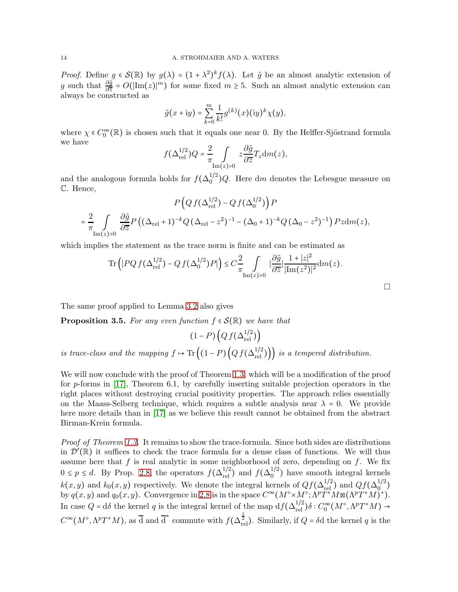*Proof.* Define  $g \in \mathcal{S}(\mathbb{R})$  by  $g(\lambda) = (1 + \lambda^2)^k f(\lambda)$ . Let  $\tilde{g}$  be an almost analytic extension of g such that  $\frac{\partial \tilde{g}}{\partial \bar{z}} = O(|\text{Im}(z)|^m)$  for some fixed  $m \geq 5$ . Such an almost analytic extension can always be constructed as

$$
\tilde{g}(x+{\rm i}y)=\sum_{k=0}^m\frac{1}{k!}g^{(k)}(x)({\rm i}y)^k\chi(y),
$$

where  $\chi \in C_0^{\infty}(\mathbb{R})$  is chosen such that it equals one near 0. By the Helffer-Sjöstrand formula we have

$$
f(\Delta_{\text{rel}}^{1/2})Q = \frac{2}{\pi} \int_{\text{Im}(z)>0} z \frac{\partial \tilde{g}}{\partial \overline{z}} T_z \text{d}m(z),
$$

and the analogous formula holds for  $f(\Delta_0^{1/2})$  $\binom{1}{0}Q$ . Here dm denotes the Lebesgue measure on C. Hence,

$$
P\left(Qf(\Delta_{\text{rel}}^{1/2}) - Qf(\Delta_0^{1/2})\right)P
$$
  
=  $\frac{2}{\pi} \int_{\text{Im}(z)>0} \frac{\partial \tilde{g}}{\partial \overline{z}} P\left((\Delta_{\text{rel}} + 1)^{-k} Q (\Delta_{\text{rel}} - z^2)^{-1} - (\Delta_0 + 1)^{-k} Q (\Delta_0 - z^2)^{-1}\right) Pz dm(z),$ 

which implies the statement as the trace norm is finite and can be estimated as

$$
\mathrm{Tr}\left(|PQf(\Delta_\mathrm{rel}^{1/2})-Qf(\Delta_0^{1/2})P|\right)\leq C\frac{2}{\pi}\int\limits_{\mathrm{Im}(z)>0}|\frac{\partial\tilde{g}}{\partial\overline{z}}|\frac{1+|z|^2}{|\mathrm{Im}(z^2)|^2}\mathrm{d}m(z).
$$

 $\Box$ 

The same proof applied to Lemma [3.2](#page-12-1) also gives

<span id="page-13-0"></span>**Proposition 3.5.** For any even function  $f \in \mathcal{S}(\mathbb{R})$  we have that

$$
(1 - P)\left(Qf(\Delta_{\rm rel}^{1/2})\right)
$$

is trace-class and the mapping  $f \mapsto \text{Tr}\left((1-P)\left(Qf(\Delta_{\text{rel}}^{1/2})\right)\right)$  is a tempered distribution.

We will now conclude with the proof of Theorem [1.3,](#page-4-0) which will be a modification of the proof for p-forms in [\[17\]](#page-21-1), Theorem 6.1, by carefully inserting suitable projection operators in the right places without destroying crucial positivity properties. The approach relies essentially on the Maass-Selberg technique, which requires a subtle analysis near  $\lambda = 0$ . We provide here more details than in [\[17\]](#page-21-1) as we believe this result cannot be obtained from the abstract Birman-Krein formula.

Proof of Theorem [1.3.](#page-4-0) It remains to show the trace-formula. Since both sides are distributions in  $\mathcal{D}'(\mathbb{R})$  it suffices to check the trace formula for a dense class of functions. We will thus assume here that  $f$  is real analytic in some neighborhood of zero, depending on  $f$ . We fix  $0 \le p \le d$ . By Prop. [2.8,](#page-10-2) the operators  $f(\Delta_{rel}^{1/2})$  and  $f(\Delta_0^{1/2})$  $_0^{1/2}$ ) have smooth integral kernels  $k(x, y)$  and  $k_0(x, y)$  respectively. We denote the integral kernels of  $Qf(\Delta_{\text{rel}}^{1/2})$  and  $Qf(\Delta_{\text{rel}}^{1/2})$  $_{0}^{0}$  ) by  $q(x, y)$  and  $q_0(x, y)$ . Convergence in [2.8](#page-10-2) is in the space  $C^{\infty}(M^{\circ} \times M^{\circ}; \Lambda^p T^*M \boxtimes (\Lambda^p T^*M)^*)$ . In case  $Q = d\delta$  the kernel q is the integral kernel of the map  $df(\Delta_{rel}^{1/2})\delta : C_0^{\infty}(M^{\circ}, \Lambda^p T^*M) \rightarrow$  $C^{\infty}(M^{\circ}, \Lambda^pT^*M)$ , as  $\overline{d}$  and  $\overline{d}^*$  commute with  $f(\Delta_{rel}^{\frac{1}{2}})$ . Similarly, if  $Q = \delta d$  the kernel q is the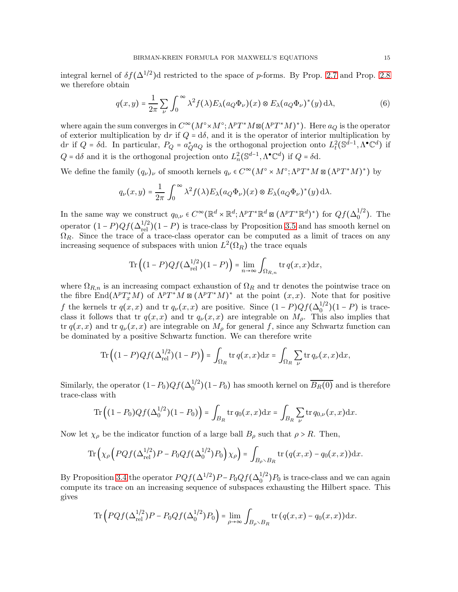integral kernel of  $\delta f(\Delta^{1/2})$ d restricted to the space of p-forms. By Prop. [2.7](#page-9-0) and Prop. [2.8](#page-10-2) we therefore obtain

$$
q(x,y) = \frac{1}{2\pi} \sum_{\nu} \int_0^{\infty} \lambda^2 f(\lambda) E_{\lambda}(a_Q \Phi_{\nu})(x) \otimes E_{\lambda}(a_Q \Phi_{\nu})^*(y) d\lambda,
$$
 (6)

where again the sum converges in  $C^{\infty}(M^{\circ} \times M^{\circ}; \Lambda^p T^*M \boxtimes (\Lambda^p T^*M)^*)$ . Here  $a_Q$  is the operator of exterior multiplication by dr if  $Q = d\delta$ , and it is the operator of interior multiplication by dr if  $Q = \delta d$ . In particular,  $P_Q = a_Q^* a_Q$  is the orthogonal projection onto  $L_t^2(\mathbb{S}^{d-1}, \Lambda^{\bullet} \mathbb{C}^d)$  if  $Q = d\delta$  and it is the orthogonal projection onto  $L_n^2(\mathbb{S}^{d-1}, \Lambda^{\bullet} \mathbb{C}^d)$  if  $Q = \delta d$ .

We define the family  $(q_\nu)_\nu$  of smooth kernels  $q_\nu \in C^\infty(M^\circ \times M^\circ; \Lambda^p T^*M \boxtimes (\Lambda^p T^*M)^*)$  by

$$
q_{\nu}(x,y) = \frac{1}{2\pi} \int_0^{\infty} \lambda^2 f(\lambda) E_{\lambda}(a_Q \Phi_{\nu})(x) \otimes E_{\lambda}(a_Q \Phi_{\nu})^*(y) d\lambda.
$$

In the same way we construct  $q_{0,\nu} \in C^{\infty}(\mathbb{R}^d \times \mathbb{R}^d; \Lambda^p T^* \mathbb{R}^d \boxtimes (\Lambda^p T^* \mathbb{R}^d)^*)$  for  $Qf(\Delta_0^{1/2})$  $_{0}^{1/2}$ ). The operator  $(1 - P)Qf(\Delta_{rel}^{1/2})(1 - P)$  is trace-class by Proposition [3.5](#page-13-0) and has smooth kernel on  $\Omega_R$ . Since the trace of a trace-class operator can be computed as a limit of traces on any increasing sequence of subspaces with union  $L^2(\Omega_R)$  the trace equals

$$
\operatorname{Tr}\left((1-P)Qf(\Delta_{\mathrm{rel}}^{1/2})(1-P)\right)=\lim_{n\to\infty}\int_{\Omega_{R,n}}\operatorname{tr} q(x,x)\mathrm{d} x,
$$

where  $\Omega_{R,n}$  is an increasing compact exhaustion of  $\Omega_R$  and tr denotes the pointwise trace on the fibre  $\text{End}(\Lambda^p T^*_x M)$  of  $\Lambda^p T^*M \boxtimes (\Lambda^p T^*M)^*$  at the point  $(x, x)$ . Note that for positive f the kernels tr  $q(x,x)$  and tr  $q_{\nu}(x,x)$  are positive. Since  $(1-P)Qf(\Delta_0^{1/2})$  $\binom{1}{0} (1 - P)$  is traceclass it follows that tr  $q(x, x)$  and tr  $q_{\nu}(x, x)$  are integrable on  $M_{\rho}$ . This also implies that tr  $q(x, x)$  and tr  $q_{\nu}(x, x)$  are integrable on  $M_{\rho}$  for general f, since any Schwartz function can be dominated by a positive Schwartz function. We can therefore write

$$
\operatorname{Tr}\left((1-P)Qf(\Delta_{\mathrm{rel}}^{1/2})(1-P)\right)=\int_{\Omega_R}\operatorname{tr} q(x,x)\mathrm{d} x=\int_{\Omega_R}\sum_{\nu}\operatorname{tr} q_{\nu}(x,x)\mathrm{d} x,
$$

Similarly, the operator  $(1-P_0)Qf(\Delta_0^{1/2})$  $\binom{1}{0}(1-P_0)$  has smooth kernel on  $B_R(0)$  and is therefore trace-class with

Tr
$$
((1 - P_0)Qf(\Delta_0^{1/2})(1 - P_0)) = \int_{B_R} tr q_0(x, x) dx = \int_{B_R} \sum_{\nu} tr q_{0,\nu}(x, x) dx.
$$

Now let  $\chi_{\rho}$  be the indicator function of a large ball  $B_{\rho}$  such that  $\rho > R$ . Then,

$$
\operatorname{Tr}\left(\chi_{\rho}\left(PQf(\Delta_{\mathrm{rel}}^{1/2})P - P_0Qf(\Delta_0^{1/2})P_0\right)\chi_{\rho}\right) = \int_{B_{\rho}\setminus B_R} \operatorname{tr}\left(q(x,x) - q_0(x,x)\right) \mathrm{d}x.
$$

By Proposition [3.4](#page-12-2) the operator  $PQf(\Delta^{1/2})P - P_0Qf(\Delta_0^{1/2})$  $\binom{1}{0}P_0$  is trace-class and we can again compute its trace on an increasing sequence of subspaces exhausting the Hilbert space. This gives

$$
\operatorname{Tr}\left(PQf(\Delta_{\mathrm{rel}}^{1/2})P - P_0Qf(\Delta_0^{1/2})P_0\right) = \lim_{\rho \to \infty} \int_{B_\rho \times B_R} \operatorname{tr}\left(q(x,x) - q_0(x,x)\right) \mathrm{d}x.
$$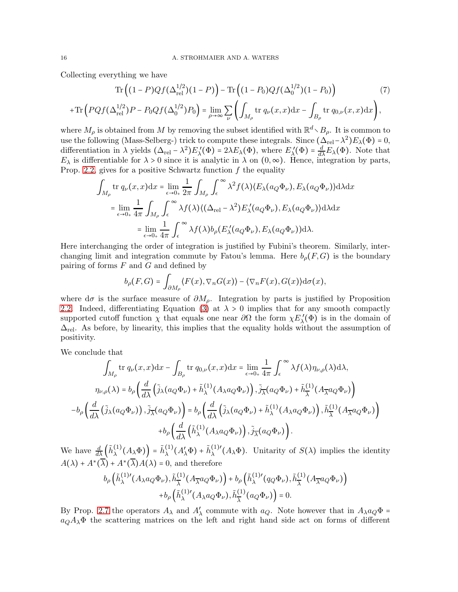Collecting everything we have

$$
\operatorname{Tr}\left((1-P)Qf(\Delta_{\text{rel}}^{1/2})(1-P)\right) - \operatorname{Tr}\left((1-P_0)Qf(\Delta_0^{1/2})(1-P_0)\right) \tag{7}
$$

$$
+\operatorname{Tr}\left(PQf(\Delta_{\text{rel}}^{1/2})P - P_0Qf(\Delta_0^{1/2})P_0\right) = \lim_{\rho \to \infty} \sum_{\nu} \left(\int_{M_\rho} \operatorname{tr} q_\nu(x,x)dx - \int_{B_\rho} \operatorname{tr} q_{0,\nu}(x,x)dx\right),
$$

where  $M_\rho$  is obtained from M by removing the subset identified with  $\mathbb{R}^d \setminus B_\rho$ . It is common to use the following (Mass-Selberg-) trick to compute these integrals. Since  $(\Delta_{rel} - \lambda^2)E_\lambda(\Phi) = 0$ , differentiation in  $\lambda$  yields  $(\Delta_{rel} - \lambda^2) E_{\lambda}'(\Phi) = 2\lambda E_{\lambda}(\Phi)$ , where  $E_{\lambda}'(\Phi) = \frac{d}{d\lambda} E_{\lambda}(\Phi)$ . Note that  $E_{\lambda}$  is differentiable for  $\lambda > 0$  since it is analytic in  $\lambda$  on  $(0, \infty)$ . Hence, integration by parts, Prop. [2.2,](#page-6-0) gives for a positive Schwartz function  $f$  the equality

$$
\int_{M_{\rho}} \text{tr } q_{\nu}(x, x) \, dx = \lim_{\epsilon \to 0_{+}} \frac{1}{2\pi} \int_{M_{\rho}} \int_{\epsilon}^{\infty} \lambda^{2} f(\lambda) \langle E_{\lambda}(a_{Q} \Phi_{\nu}), E_{\lambda}(a_{Q} \Phi_{\nu}) \rangle \, d\lambda \, dx
$$
\n
$$
= \lim_{\epsilon \to 0_{+}} \frac{1}{4\pi} \int_{M_{\rho}} \int_{\epsilon}^{\infty} \lambda f(\lambda) \langle (\Delta_{\text{rel}} - \lambda^{2}) E_{\lambda}'(a_{Q} \Phi_{\nu}), E_{\lambda}(a_{Q} \Phi_{\nu}) \rangle \, d\lambda \, dx
$$
\n
$$
= \lim_{\epsilon \to 0_{+}} \frac{1}{4\pi} \int_{\epsilon}^{\infty} \lambda f(\lambda) b_{\rho}(E_{\lambda}'(a_{Q} \Phi_{\nu}), E_{\lambda}(a_{Q} \Phi_{\nu})) \, d\lambda.
$$

Here interchanging the order of integration is justified by Fubini's theorem. Similarly, interchanging limit and integration commute by Fatou's lemma. Here  $b_{\rho}(F, G)$  is the boundary pairing of forms  $F$  and  $G$  and defined by

$$
b_{\rho}(F,G) = \int_{\partial M_{\rho}} \langle F(x), \nabla_n G(x) \rangle - \langle \nabla_n F(x), G(x) \rangle d\sigma(x),
$$

where d $\sigma$  is the surface measure of  $\partial M_{\rho}$ . Integration by parts is justified by Proposition [2.2.](#page-6-0) Indeed, differentiating Equation [\(3\)](#page-7-0) at  $\lambda > 0$  implies that for any smooth compactly supported cutoff function  $\chi$  that equals one near  $\partial\Omega$  the form  $\chi E'_{\lambda}(\Phi)$  is in the domain of  $\Delta_{\rm rel}$ . As before, by linearity, this implies that the equality holds without the assumption of positivity.

We conclude that

$$
\int_{M_{\rho}} \text{tr } q_{\nu}(x, x) \, dx - \int_{B_{\rho}} \text{tr } q_{0, \nu}(x, x) \, dx = \lim_{\epsilon \to 0_{+}} \frac{1}{4\pi} \int_{\epsilon}^{\infty} \lambda f(\lambda) \eta_{\nu, \rho}(\lambda) \, d\lambda,
$$
\n
$$
\eta_{\nu, \rho}(\lambda) = b_{\rho} \left( \frac{d}{d\lambda} \left( \tilde{j}_{\lambda}(a_{Q} \Phi_{\nu}) + \tilde{h}_{\lambda}^{(1)}(A_{\lambda} a_{Q} \Phi_{\nu}) \right), \tilde{j}_{\overline{\lambda}}(a_{Q} \Phi_{\nu}) + \tilde{h}_{\overline{\lambda}}^{(1)}(A_{\overline{\lambda}} a_{Q} \Phi_{\nu}) \right)
$$
\n
$$
-b_{\rho} \left( \frac{d}{d\lambda} \left( \tilde{j}_{\lambda}(a_{Q} \Phi_{\nu}) \right), \tilde{j}_{\overline{\lambda}}(a_{Q} \Phi_{\nu}) \right) = b_{\rho} \left( \frac{d}{d\lambda} \left( \tilde{j}_{\lambda}(a_{Q} \Phi_{\nu}) + \tilde{h}_{\lambda}^{(1)}(A_{\lambda} a_{Q} \Phi_{\nu}) \right), \tilde{h}_{\overline{\lambda}}^{(1)}(A_{\overline{\lambda}} a_{Q} \Phi_{\nu}) \right)
$$
\n
$$
+b_{\rho} \left( \frac{d}{d\lambda} \left( \tilde{h}_{\lambda}^{(1)}(A_{\lambda} a_{Q} \Phi_{\nu}) \right), \tilde{j}_{\overline{\lambda}}(a_{Q} \Phi_{\nu}) \right).
$$

We have  $\frac{d}{d\lambda} \left( \tilde{h}_{\lambda}^{(1)} \right)$  $\tilde{h}^{(1)}_{\lambda}(A_{\lambda}\Phi)\Big) = \tilde{h}^{(1)}_{\lambda}$  $\lambda^{(1)}(A'_\lambda\Phi) + \tilde{h}^{(1)}_\lambda$  $\lambda^{(1)'}(A_{\lambda}\Phi)$ . Unitarity of  $S(\lambda)$  implies the identity  $A(\lambda) + A^*(\overline{\lambda}) + A^*(\overline{\lambda})A(\lambda) = 0$ , and therefore

$$
b_{\rho}\left(\tilde{h}_{\lambda}^{(1)'}(A_{\lambda}a_{Q}\Phi_{\nu}),\tilde{h}_{\overline{\lambda}}^{(1)}(A_{\overline{\lambda}}a_{Q}\Phi_{\nu})\right)+b_{\rho}\left(\tilde{h}_{\lambda}^{(1)'}(q_{Q}\Phi_{\nu}),\tilde{h}_{\overline{\lambda}}^{(1)}(A_{\overline{\lambda}}a_{Q}\Phi_{\nu})\right)+b_{\rho}\left(\tilde{h}_{\lambda}^{(1)'}(A_{\lambda}a_{Q}\Phi_{\nu}),\tilde{h}_{\overline{\lambda}}^{(1)}(a_{Q}\Phi_{\nu})\right)=0.
$$

By Prop. [2.7](#page-9-0) the operators  $A_{\lambda}$  and  $A'_{\lambda}$  commute with  $a_Q$ . Note however that in  $A_{\lambda}a_Q\Phi$  =  $a_Q A_\lambda \Phi$  the scattering matrices on the left and right hand side act on forms of different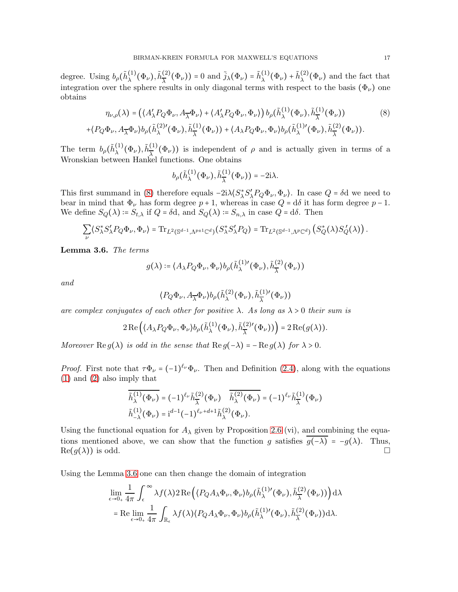degree. Using  $b_\rho(\tilde{h}^{(1)}_\lambda)$  $\tilde{\lambda}^{(1)}(\Phi_{\nu}), \tilde{h}^{(2)}_{\overline{\lambda}}$  $\left(\frac{2}{\lambda}(\Phi_{\nu})\right) = 0$  and  $\tilde{j}_{\lambda}(\Phi_{\nu}) = \tilde{h}_{\lambda}^{(1)}$  $\tilde{h}^{(1)}_\lambda(\Phi_\nu) + \tilde{h}^{(2)}_\lambda$  $\lambda^{(2)}(\Phi_{\nu})$  and the fact that integration over the sphere results in only diagonal terms with respect to the basis  $(\Phi_{\nu})$  one obtains

$$
\eta_{\nu,\rho}(\lambda) = \left( \langle A'_{\lambda} P_Q \Phi_{\nu}, A_{\overline{\lambda}} \Phi_{\nu} \rangle + \langle A'_{\lambda} P_Q \Phi_{\nu}, \Phi_{\nu} \rangle \right) b_{\rho}(\tilde{h}_{\lambda}^{(1)}(\Phi_{\nu}), \tilde{h}_{\overline{\lambda}}^{(1)}(\Phi_{\nu}))
$$
\n
$$
+ \langle P_Q \Phi_{\nu}, A_{\overline{\lambda}} \Phi_{\nu} \rangle b_{\rho}(\tilde{h}_{\lambda}^{(2)'}(\Phi_{\nu}), \tilde{h}_{\overline{\lambda}}^{(1)}(\Phi_{\nu})) + \langle A_{\lambda} P_Q \Phi_{\nu}, \Phi_{\nu} \rangle b_{\rho}(\tilde{h}_{\lambda}^{(1)'}(\Phi_{\nu}), \tilde{h}_{\overline{\lambda}}^{(2)}(\Phi_{\nu})).
$$
\n(8)

The term  $b_\rho(\tilde{h}^{(1)}_\lambda)$  $\tilde{\lambda}^{(1)}(\Phi_{\nu}), \tilde{h}^{(1)}_{\overline{\lambda}}$  $\left(\frac{1}{\lambda}\right)^{1}$  ( $\Phi_{\nu}$ )) is independent of  $\rho$  and is actually given in terms of a Wronskian between Hankel functions. One obtains

<span id="page-16-0"></span>
$$
b_{\rho}(\tilde{h}_{\lambda}^{(1)}(\Phi_{\nu}),\tilde{h}_{\overline{\lambda}}^{(1)}(\Phi_{\nu}))=-2i\lambda.
$$

This first summand in [\(8\)](#page-16-0) therefore equals  $-2i\lambda \langle S^*_{\lambda}S'_{\lambda}P_Q\Phi_{\nu},\Phi_{\nu}\rangle$ . In case  $Q = \delta d$  we need to bear in mind that  $\Phi_{\nu}$  has form degree  $p + 1$ , whereas in case  $Q = d\delta$  it has form degree  $p - 1$ . We define  $S_Q(\lambda) = S_{t,\lambda}$  if  $Q = \delta d$ , and  $S_Q(\lambda) = S_{n,\lambda}$  in case  $Q = d\delta$ . Then

$$
\sum_{\nu} \langle S_{\lambda}^* S_{\lambda}' P_Q \Phi_{\nu}, \Phi_{\nu} \rangle = \text{Tr}_{L^2(\mathbb{S}^{d-1}, \Lambda^{p\pm 1} \mathbb{C}^d)}(S_{\lambda}^* S_{\lambda}' P_Q) = \text{Tr}_{L^2(\mathbb{S}^{d-1}, \Lambda^p \mathbb{C}^d)}(S_Q^*(\lambda) S_Q^{\prime}(\lambda)).
$$

<span id="page-16-1"></span>Lemma 3.6. The terms

$$
g(\lambda) \coloneqq \langle A_{\lambda} P_Q \Phi_{\nu}, \Phi_{\nu} \rangle b_{\rho}(\tilde{h}_{\lambda}^{(1)\prime}(\Phi_{\nu}), \tilde{h}_{\overline{\lambda}}^{(2)}(\Phi_{\nu}))
$$

and

$$
\langle P_Q \Phi_{\nu}, A_{\overline{\lambda}} \Phi_{\nu} \rangle b_{\rho}(\tilde{h}_{\lambda}^{(2)}(\Phi_{\nu}), \tilde{h}_{\overline{\lambda}}^{(1)}(\Phi_{\nu}))
$$

are complex conjugates of each other for positive  $\lambda$ . As long as  $\lambda > 0$  their sum is

$$
2\operatorname{Re}\left(\langle A_{\lambda}P_Q\Phi_{\nu},\Phi_{\nu}\rangle b_{\rho}(\tilde{h}_{\lambda}^{(1)}(\Phi_{\nu}),\tilde{h}_{\overline{\lambda}}^{(2)\prime}(\Phi_{\nu}))\right)=2\operatorname{Re}(g(\lambda)).
$$

Moreover  $\text{Re } g(\lambda)$  is odd in the sense that  $\text{Re } g(-\lambda) = -\text{Re } g(\lambda)$  for  $\lambda > 0$ .

*Proof.* First note that  $\tau \Phi_{\nu} = (-1)^{\ell_{\nu}} \Phi_{\nu}$ . Then and Definition [\(2.4\)](#page-7-1), along with the equations [\(1\)](#page-7-2) and [\(2\)](#page-7-3) also imply that

$$
\begin{split} \overline{\tilde{h}^{(1)}_{\lambda}(\Phi_{\nu})} &= (-1)^{\ell_{\nu}}\tilde{h}^{(2)}_{\overline{\lambda}}(\Phi_{\nu})\quad \overline{\tilde{h}^{(2)}_{\lambda}(\Phi_{\nu})} = (-1)^{\ell_{\nu}}\tilde{h}^{(1)}_{\overline{\lambda}}(\Phi_{\nu}) \\ \tilde{h}^{(1)}_{-\lambda}(\Phi_{\nu}) &= \mathrm{i}^{d-1}(-1)^{\ell_{\nu}+d+1}\tilde{h}^{(2)}_{\lambda}(\Phi_{\nu}). \end{split}
$$

Using the functional equation for  $A_{\lambda}$  given by Proposition [2.6](#page-8-0) (vi), and combining the equations mentioned above, we can show that the function g satisfies  $\overline{g(-\lambda)} = -g(\lambda)$ . Thus,  $\Box$  $\text{Re}(g(\lambda))$  is odd.

Using the Lemma [3.6](#page-16-1) one can then change the domain of integration

$$
\lim_{\epsilon \to 0_+} \frac{1}{4\pi} \int_{\epsilon}^{\infty} \lambda f(\lambda) 2 \operatorname{Re} \left( \langle P_Q A_{\lambda} \Phi_{\nu}, \Phi_{\nu} \rangle b_{\rho}(\tilde{h}_{\lambda}^{(1)}'(\Phi_{\nu}), \tilde{h}_{\overline{\lambda}}^{(2)}(\Phi_{\nu})) \right) d\lambda \n= \operatorname{Re} \lim_{\epsilon \to 0_+} \frac{1}{4\pi} \int_{\mathbb{R}_{\epsilon}} \lambda f(\lambda) \langle P_Q A_{\lambda} \Phi_{\nu}, \Phi_{\nu} \rangle b_{\rho}(\tilde{h}_{\lambda}^{(1)}'(\Phi_{\nu}), \tilde{h}_{\overline{\lambda}}^{(2)}(\Phi_{\nu})) d\lambda.
$$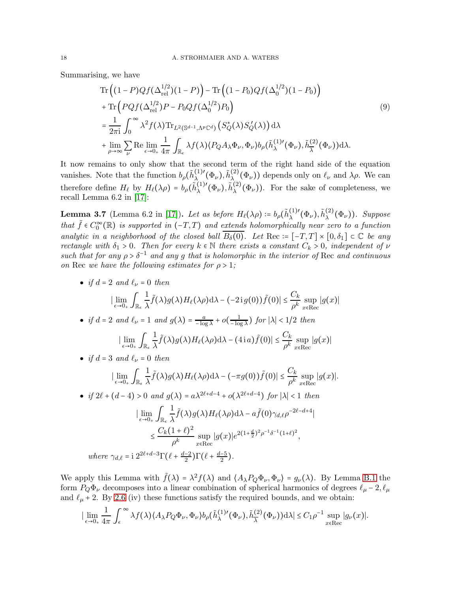Summarising, we have

<span id="page-17-0"></span>
$$
\operatorname{Tr}\left((1-P)Qf(\Delta_{\mathrm{rel}}^{1/2})(1-P)\right) - \operatorname{Tr}\left((1-P_0)Qf(\Delta_0^{1/2})(1-P_0)\right) \n+ \operatorname{Tr}\left(PQf(\Delta_{\mathrm{rel}}^{1/2})P - P_0Qf(\Delta_0^{1/2})P_0\right) \n= \frac{1}{2\pi i} \int_0^\infty \lambda^2 f(\lambda) \operatorname{Tr}_{L^2(\mathbb{S}^{d-1},\Lambda^p\mathbb{C}^d)}\left(S_Q^*(\lambda)S_Q'(\lambda)\right) d\lambda \n+ \lim_{\rho \to \infty} \sum_{\nu} \operatorname{Re} \lim_{\epsilon \to 0_+} \frac{1}{4\pi} \int_{\mathbb{R}_{\epsilon}} \lambda f(\lambda) \langle P_Q A_{\lambda} \Phi_{\nu}, \Phi_{\nu} \rangle b_{\rho}(\tilde{h}_{\lambda}^{(1)'}(\Phi_{\nu}), \tilde{h}_{\lambda}^{(2)}(\Phi_{\nu})) d\lambda.
$$
\n(9)

It now remains to only show that the second term of the right hand side of the equation vanishes. Note that the function  $b_\rho(\tilde{h}_{\lambda}^{(1)'}$  $\tilde{h}^{(1)\prime}_{\lambda}(\Phi_{\nu}),\tilde{h}^{(2)}_{\lambda}$  $\lambda_{\lambda}^{(2)}(\Phi_{\nu})$  depends only on  $\ell_{\nu}$  and  $\lambda \rho$ . We can therefore define  $H_{\ell}$  by  $H_{\ell}(\lambda \rho) = b_{\rho}(\tilde{h}_{\lambda}^{(1)}')$  ${}^{(1)\prime}_{\lambda}(\Phi_{\nu}), \tilde{h}^{(2)}_{\lambda}$  $\lambda^{(2)}(\Phi_{\nu})$ ). For the sake of completeness, we recall Lemma 6.2 in [\[17\]](#page-21-1):

**Lemma 3.7** (Lemma 6.2 in [\[17\]](#page-21-1)). Let as before  $H_{\ell}(\lambda \rho) \coloneqq b_{\rho}(\tilde{h}_{\lambda}^{(1)}')$  $\tilde{\lambda}^{(1)\prime}(\Phi_{\nu}), \tilde{h}^{(2)}_{\lambda}$  $\lambda^{(2)}(\Phi_{\nu})$ ). Suppose that  $\tilde{f} \in C_0^{\infty}(\mathbb{R})$  is supported in  $(-T, T)$  and extends holomorphically near zero to a function analytic in a neighborhood of the closed ball  $\overline{B_\delta(0)}$ . Let Rec :=  $[-T, T] \times [0, \delta_1] \subset \mathbb{C}$  be any rectangle with  $\delta_1 > 0$ . Then for every  $k \in \mathbb{N}$  there exists a constant  $C_k > 0$ , independent of  $\nu$ such that for any  $\rho > \delta^{-1}$  and any g that is holomorphic in the interior of Rec and continuous on Rec we have the following estimates for  $\rho > 1$ ;

• if 
$$
d = 2
$$
 and  $\ell_{\nu} = 0$  then  
\n
$$
|\lim_{\epsilon \to 0+} \int_{\mathbb{R}_{\epsilon}} \frac{1}{\lambda} \tilde{f}(\lambda) g(\lambda) H_{\ell}(\lambda \rho) d\lambda - (-2i g(0)) \tilde{f}(0)| \leq \frac{C_k}{\rho^k} \sup_{x \in \text{Rec}} |g(x)|
$$

• if  $d = 2$  and  $\ell_{\nu} = 1$  and  $g(\lambda) = \frac{a}{- \log a}$  $\frac{a}{-\log \lambda} + o\left(\frac{1}{-\log \lambda}\right)$  $\frac{1}{-\log \lambda}$ ) for  $|\lambda|$  < 1/2 then

$$
\left|\lim_{\epsilon \to 0_+} \int_{\mathbb{R}_{\epsilon}} \frac{1}{\lambda} \tilde{f}(\lambda) g(\lambda) H_{\ell}(\lambda \rho) d\lambda - (4 \, i \, a) \tilde{f}(0) \right| \leq \frac{C_k}{\rho^k} \sup_{x \in \text{Rec}} |g(x)|
$$

• if  $d = 3$  and  $\ell_{\nu} = 0$  then

$$
\left|\lim_{\epsilon \to 0_+} \int_{\mathbb{R}_{\epsilon}} \frac{1}{\lambda} \tilde{f}(\lambda) g(\lambda) H_{\ell}(\lambda \rho) d\lambda - \left(-\pi g(0)\right) \tilde{f}(0) \right| \leq \frac{C_k}{\rho^k} \sup_{x \in \text{Rec}} |g(x)|.
$$

• if  $2\ell + (d-4) > 0$  and  $g(\lambda) = a\lambda^{2\ell+d-4} + o(\lambda^{2\ell+d-4})$  for  $|\lambda| < 1$  then  $|\lim_{\epsilon\to 0_+}\int_{\mathbb{R}_\epsilon}$ 1  $\frac{1}{\lambda}\tilde{f}(\lambda)g(\lambda)H_{\ell}(\lambda\rho)d\lambda - a\tilde{f}(0)\gamma_{d,\ell}\rho^{-2\ell-d+4}$ 

$$
\leq \frac{C_k(1+\ell)^2}{\rho^k}\sup_{x\in \text{Rec}}|g(x)|e^{2(1+\frac{d}{2})^2\rho^{-1}\delta^{-1}(1+\ell)^2},
$$
  
where  $\gamma_{d,\ell} = 12^{2\ell+d-3}\Gamma(\ell+\frac{d-2}{2})\Gamma(\ell+\frac{d-5}{2}).$ 

We apply this Lemma with  $\tilde{f}(\lambda) = \lambda^2 f(\lambda)$  and  $\langle A_{\lambda} P_Q \Phi_{\nu}, \Phi_{\nu} \rangle = g_{\nu}(\lambda)$ . By Lemma [B.1](#page-20-2) the form  $P_Q\Phi_\nu$  decomposes into a linear combination of spherical harmonics of degrees  $\ell_\mu$  – 2,  $\ell_\mu$ and  $\ell_{\mu}$  + 2. By [2.6](#page-8-0) (iv) these functions satisfy the required bounds, and we obtain:

$$
\left|\lim_{\epsilon \to 0_+} \frac{1}{4\pi} \int_{\epsilon}^{\infty} \lambda f(\lambda) \langle A_{\lambda} P_Q \Phi_{\nu}, \Phi_{\nu} \rangle b_{\rho}(\tilde{h}_{\lambda}^{(1)'}(\Phi_{\nu}), \tilde{h}_{\overline{\lambda}}^{(2)}(\Phi_{\nu})) d\lambda \right| \leq C_1 \rho^{-1} \sup_{x \in \text{Rec}} |g_{\nu}(x)|.
$$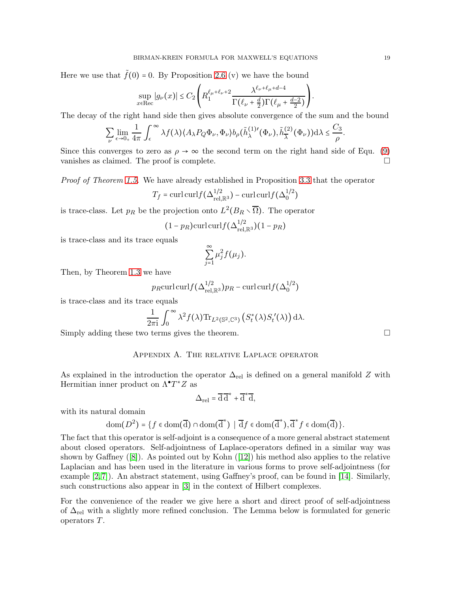Here we use that  $\tilde{f}(0) = 0$ . By Proposition [2.6](#page-8-0) (v) we have the bound

$$
\sup_{x \in \text{Rec}} |g_{\nu}(x)| \le C_2 \left( R_1^{\ell_{\mu} + \ell_{\nu} + 2} \frac{\lambda^{\ell_{\nu} + \ell_{\mu} + d - 4}}{\Gamma(\ell_{\nu} + \frac{d}{2})\Gamma(\ell_{\mu} + \frac{d - 2}{2})} \right)
$$

The decay of the right hand side then gives absolute convergence of the sum and the bound

$$
\sum_{\nu} \lim_{\epsilon \to 0_+} \frac{1}{4\pi} \int_{\epsilon}^{\infty} \lambda f(\lambda) \langle A_{\lambda} P_Q \Phi_{\nu}, \Phi_{\nu} \rangle b_{\rho}(\tilde{h}_{\lambda}^{(1)}(\Phi_{\nu}), \tilde{h}_{\overline{\lambda}}^{(2)}(\Phi_{\nu})) d\lambda \leq \frac{C_3}{\rho}.
$$

Since this converges to zero as  $\rho \to \infty$  the second term on the right hand side of Equ. [\(9\)](#page-17-0) vanishes as claimed. The proof is complete. vanishes as claimed. The proof is complete.

Proof of Theorem [1.5.](#page-4-1) We have already established in Proposition [3.3](#page-12-3) that the operator

$$
T_f = \text{curl}\,\text{curl} f(\Delta_{\text{rel},\mathbb{R}^3}^{1/2}) - \text{curl}\,\text{curl} f(\Delta_0^{1/2})
$$

is trace-class. Let  $p_R$  be the projection onto  $L^2(B_R \setminus \overline{\Omega})$ . The operator

$$
(1 - p_R)\mathrm{curl}\,\mathrm{curl} f(\Delta_{\mathrm{rel},\mathbb{R}^3}^{1/2})(1 - p_R)
$$

is trace-class and its trace equals

$$
\sum_{j=1}^{\infty} \mu_j^2 f(\mu_j).
$$

Then, by Theorem [1.3](#page-4-0) we have

$$
p_R \operatorname{curl}\operatorname{curl} f(\Delta_{\text{rel},\mathbb{R}^3}^{1/2}) p_R - \operatorname{curl}\operatorname{curl} f(\Delta_0^{1/2})
$$

is trace-class and its trace equals

$$
\frac{1}{2\pi i} \int_0^\infty \lambda^2 f(\lambda) \text{Tr}_{L^2(\mathbb{S}^2,\mathbb{C}^3)} \left( S_t^*(\lambda) S_t'(\lambda) \right) d\lambda.
$$

<span id="page-18-0"></span>Simply adding these two terms gives the theorem.

### Appendix A. The relative Laplace operator

As explained in the introduction the operator  $\Delta_{\text{rel}}$  is defined on a general manifold Z with Hermitian inner product on  $\Lambda^{\bullet}T^*Z$  as

$$
\Delta_{\rm rel} = \overline{\rm d}\,\overline{\rm d}^* + \overline{\rm d}^*\overline{\rm d},
$$

with its natural domain

$$
\mathrm{dom}(D^2)=\big\{f\in\mathrm{dom}(\overline{d})\cap\mathrm{dom}(\overline{d}^*)\,\,\big|\,\,\overline{\mathrm{d}} f\in\mathrm{dom}(\overline{d}^*),\overline{\mathrm{d}}^*f\in\mathrm{dom}(\overline{\mathrm{d}})\big\}.
$$

The fact that this operator is self-adjoint is a consequence of a more general abstract statement about closed operators. Self-adjointness of Laplace-operators defined in a similar way was shownby Gaffney  $([8])$  $([8])$  $([8])$ . As pointed out by Kohn  $([12])$  $([12])$  $([12])$  his method also applies to the relative Laplacian and has been used in the literature in various forms to prove self-adjointness (for example [\[2,](#page-20-3) [7\]](#page-21-7)). An abstract statement, using Gaffney's proof, can be found in [\[14\]](#page-21-8). Similarly, such constructions also appear in [\[3\]](#page-20-4) in the context of Hilbert complexes.

For the convenience of the reader we give here a short and direct proof of self-adjointness of  $\Delta_{\rm rel}$  with a slightly more refined conclusion. The Lemma below is formulated for generic operators T.

.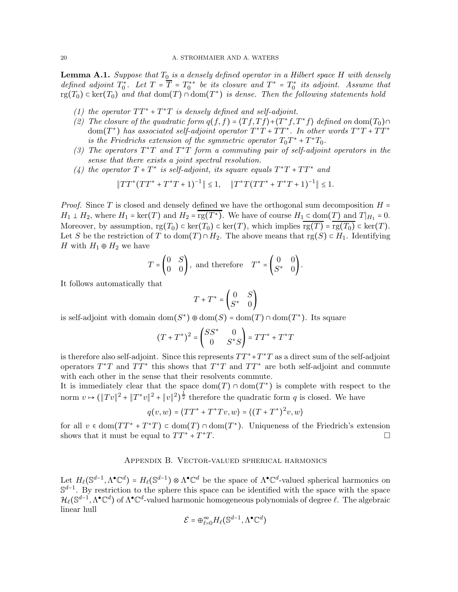<span id="page-19-1"></span>**Lemma A.1.** Suppose that  $T_0$  is a densely defined operator in a Hilbert space H with densely defined adjoint  $T_0^*$ . Let  $T = \overline{T} = T_0^{**}$  be its closure and  $T^* = T_0^*$  its adjoint. Assume that  $\text{rg}(T_0) \subset \text{ker}(T_0)$  and that  $\text{dom}(T) \cap \text{dom}(T^*)$  is dense. Then the following statements hold

- (1) the operator  $TT^* + T^*T$  is densely defined and self-adjoint.
- (2) The closure of the quadratic form  $q(f, f) = \langle Tf, Tf \rangle + \langle T^*f, T^*f \rangle$  defined on dom $(T_0) \cap$ dom(T<sup>\*</sup>) has associated self-adjoint operator  $T^*T + TT^*$ . In other words  $T^*T + TT^*$ is the Friedrichs extension of the symmetric operator  $T_0T^* + T^*T_0$ .
- (3) The operators  $T^*T$  and  $T^*T$  form a commuting pair of self-adjoint operators in the sense that there exists a joint spectral resolution.
- (4) the operator  $T + T^*$  is self-adjoint, its square equals  $T^*T + TT^*$  and

$$
||TT^*(TT^* + T^*T + 1)^{-1}|| \le 1, \quad ||T^*T(TT^* + T^*T + 1)^{-1}|| \le 1.
$$

*Proof.* Since T is closed and densely defined we have the orthogonal sum decomposition  $H =$  $H_1 \perp H_2$ , where  $H_1 = \ker(T)$  and  $H_2 = \operatorname{rg}(T^*)$ . We have of course  $H_1 \subset \operatorname{dom}(T)$  and  $T|_{H_1} = 0$ . Moreover, by assumption,  $rg(T_0) \subset \text{ker}(T_0) \subset \text{ker}(T)$ , which implies  $\overline{rg(T)} = \overline{rg(T_0)} \subset \text{ker}(T)$ . Let S be the restriction of T to dom(T) ∩  $H_2$ . The above means that rg(S)  $\subset H_1$ . Identifying H with  $H_1 \oplus H_2$  we have

$$
T = \begin{pmatrix} 0 & S \\ 0 & 0 \end{pmatrix}, \text{ and therefore } T^* = \begin{pmatrix} 0 & 0 \\ S^* & 0 \end{pmatrix}.
$$

It follows automatically that

$$
T + T^* = \begin{pmatrix} 0 & S \\ S^* & 0 \end{pmatrix}
$$

is self-adjoint with domain  $dom(S^*) \oplus dom(S) = dom(T) \cap dom(T^*)$ . Its square

$$
(T + T^*)^2 = \begin{pmatrix} SS^* & 0\\ 0 & S^*S \end{pmatrix} = TT^* + T^*T
$$

is therefore also self-adjoint. Since this represents  $TT^*+T^*T$  as a direct sum of the self-adjoint operators  $T^*T$  and  $TT^*$  this shows that  $T^*T$  and  $TT^*$  are both self-adjoint and commute with each other in the sense that their resolvents commute.

It is immediately clear that the space  $dom(T) \cap dom(T^*)$  is complete with respect to the norm  $v \mapsto (\|Tv\|^2 + \|T^*v\|^2 + \|v\|^2)$  $\frac{1}{2}$  therefore the quadratic form q is closed. We have

$$
q(v, w) = \langle TT^* + T^*Tv, w \rangle = \langle (T + T^*)^2v, w \rangle
$$

<span id="page-19-0"></span>for all  $v \in \text{dom}(TT^* + T^*T) \subset \text{dom}(T) \cap \text{dom}(T^*)$ . Uniqueness of the Friedrich's extension shows that it must be equal to  $TT^* + T^*T$ .  $\mathbf{r}$ 

#### Appendix B. Vector-valued spherical harmonics

Let  $H_{\ell}(\mathbb{S}^{d-1}, \Lambda^{\bullet}\mathbb{C}^d) = H_{\ell}(\mathbb{S}^{d-1}) \otimes \Lambda^{\bullet}\mathbb{C}^d$  be the space of  $\Lambda^{\bullet}\mathbb{C}^d$ -valued spherical harmonics on  $\mathbb{S}^{d-1}$ . By restriction to the sphere this space can be identified with the space with the space  $\mathcal{H}_{\ell}(\mathbb{S}^{d-1}, \Lambda^{\bullet}\mathbb{C}^d)$  of  $\Lambda^{\bullet}\mathbb{C}^d$ -valued harmonic homogeneous polynomials of degree  $\ell$ . The algebraic linear hull

$$
\mathcal{E} = \bigoplus_{\ell=0}^{\infty} H_{\ell}(\mathbb{S}^{d-1}, \Lambda^{\bullet} \mathbb{C}^d)
$$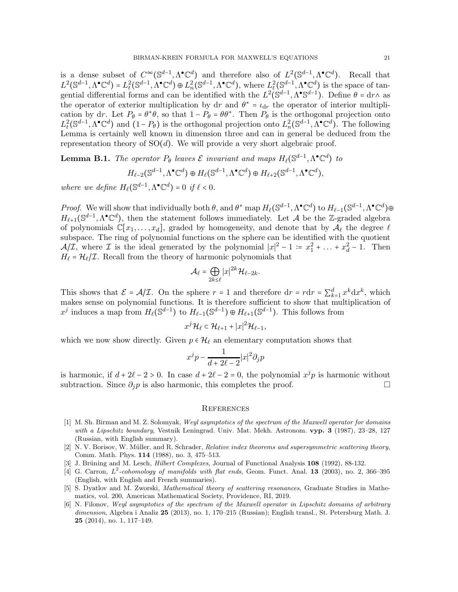is a dense subset of  $C^{\infty}(\mathbb{S}^{d-1}, \Lambda^{\bullet}\mathbb{C}^d)$  and therefore also of  $L^2(\mathbb{S}^{d-1}, \Lambda^{\bullet}\mathbb{C}^d)$ . Recall that  $L^2(\mathbb{S}^{d-1},\Lambda^\bullet\mathbb{C}^d) = L^2_t(\mathbb{S}^{d-1},\Lambda^\bullet\mathbb{C}^d) \oplus L^2_n(\mathbb{S}^{d-1},\Lambda^\bullet\mathbb{C}^d)$ , where  $L^2_t(\mathbb{S}^{d-1},\Lambda^\bullet\mathbb{C}^d)$  is the space of tangential differential forms and can be identified with the  $L^2(\mathbb{S}^{d-1}, \Lambda^{\bullet} \mathbb{S}^{d-1})$ . Define  $\theta = \mathrm{d}r \wedge$  as the operator of exterior multiplication by dr and  $\theta^* = \iota_{dr}$  the operator of interior multiplication by dr. Let  $P_{\theta} = \theta^* \theta$ , so that  $1 - P_{\theta} = \theta \theta^*$ . Then  $P_{\theta}$  is the orthogonal projection onto  $L^2(\mathbb{S}^{d-1}, \Lambda^{\bullet}\mathbb{C}^d)$  and  $(1-P_\theta)$  is the orthogonal projection onto  $L^2_n(\mathbb{S}^{d-1}, \Lambda^{\bullet}\mathbb{C}^d)$ . The following Lemma is certainly well known in dimension three and can in general be deduced from the representation theory of  $SO(d)$ . We will provide a very short algebraic proof.

<span id="page-20-2"></span>**Lemma B.1.** The operator  $P_{\theta}$  leaves  $\mathcal E$  invariant and maps  $H_{\ell}(\mathbb S^{d-1}, \Lambda^{\bullet} \mathbb C^d)$  to  $H_{\ell-2}(\mathbb{S}^{d-1},\Lambda^{\bullet}\mathbb{C}^d) \oplus H_{\ell}(\mathbb{S}^{d-1},\Lambda^{\bullet}\mathbb{C}^d) \oplus H_{\ell+2}(\mathbb{S}^{d-1},\Lambda^{\bullet}\mathbb{C}^d),$ where we define  $H_{\ell}(\mathbb{S}^{d-1}, \Lambda^{\bullet} \mathbb{C}^d) = 0$  if  $\ell < 0$ .

Proof. We will show that individually both  $\theta$ , and  $\theta^*$  map  $H_\ell(\mathbb{S}^{d-1}, \Lambda^\bullet \mathbb{C}^d)$  to  $H_{\ell-1}(\mathbb{S}^{d-1}, \Lambda^\bullet \mathbb{C}^d) \oplus$  $H_{\ell+1}(\mathbb{S}^{d-1},\Lambda^{\bullet}\mathbb{C}^d)$ , then the statement follows immediately. Let A be the Z-graded algebra of polynomials  $\mathbb{C}[x_1,\ldots,x_d]$ , graded by homogeneity, and denote that by  $\mathcal{A}_{\ell}$  the degree  $\ell$ subspace. The ring of polynomial functions on the sphere can be identified with the quotient  $\mathcal{A}/\mathcal{I}$ , where  $\mathcal I$  is the ideal generated by the polynomial  $|x|^2 - 1 = x_1^2 + \ldots + x_d^2 - 1$ . Then  $H_{\ell} = \mathcal{H}_{\ell}/\mathcal{I}$ . Recall from the theory of harmonic polynomials that

$$
\mathcal{A}_{\ell} = \bigoplus_{2k \leq \ell} |x|^{2k} \mathcal{H}_{\ell-2k}.
$$

This shows that  $\mathcal{E} = \mathcal{A}/\mathcal{I}$ . On the sphere  $r = 1$  and therefore  $dr = rdr = \sum_{k=1}^{d} x^k dx^k$ , which makes sense on polynomial functions. It is therefore sufficient to show that multiplication of  $x^j$  induces a map from  $H_\ell(\mathbb{S}^{d-1})$  to  $H_{\ell-1}(\mathbb{S}^{d-1}) \oplus H_{\ell+1}(\mathbb{S}^{d-1})$ . This follows from

$$
x^j\mathcal{H}_{\ell} \subset \mathcal{H}_{\ell+1} + |x|^2 \mathcal{H}_{\ell-1},
$$

which we now show directly. Given  $p \in \mathcal{H}_{\ell}$  an elementary computation shows that

$$
x^j p - \frac{1}{d + 2\ell - 2}|x|^2 \partial_j p
$$

is harmonic, if  $d + 2\ell - 2 > 0$ . In case  $d + 2\ell - 2 = 0$ , the polynomial  $x^j p$  is harmonic without subtraction. Since  $\partial_i p$  is also harmonic, this completes the proof.  $\Box$ 

#### **REFERENCES**

- [1] M. Sh. Birman and M. Z. Solomyak, Weyl asymptotics of the spectrum of the Maxwell operator for domains with a Lipschitz boundary, Vestnik Leningrad. Univ. Mat. Mekh. Astronom. vyp. 3 (1987), 23-28, 127 (Russian, with English summary).
- <span id="page-20-3"></span>[2] N. V. Borisov, W. Müller, and R. Schrader, Relative index theorems and supersymmetric scattering theory, Comm. Math. Phys. 114 (1988), no. 3, 475–513.
- <span id="page-20-4"></span>[3] J. Brüning and M. Lesch, *Hilbert Complexes*, Journal of Functional Analysis 108 (1992), 88-132.
- [4] G. Carron,  $L^2$ -cohomology of manifolds with flat ends, Geom. Funct. Anal. 13 (2003), no. 2, 366–395 (English, with English and French summaries).
- <span id="page-20-0"></span>[5] S. Dyatlov and M. Zworski, Mathematical theory of scattering resonances, Graduate Studies in Mathematics, vol. 200, American Mathematical Society, Providence, RI, 2019.
- <span id="page-20-1"></span>[6] N. Filonov, Weyl asymptotics of the spectrum of the Maxwell operator in Lipschitz domains of arbitrary dimension, Algebra i Analiz 25 (2013), no. 1, 170–215 (Russian); English transl., St. Petersburg Math. J. 25 (2014), no. 1, 117–149.